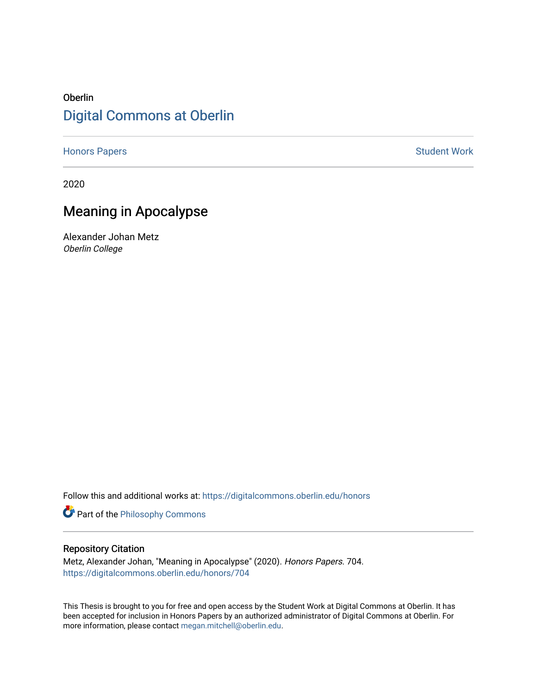## Oberlin [Digital Commons at Oberlin](https://digitalcommons.oberlin.edu/)

[Honors Papers](https://digitalcommons.oberlin.edu/honors) **Student Work** 

2020

# Meaning in Apocalypse

Alexander Johan Metz Oberlin College

Follow this and additional works at: [https://digitalcommons.oberlin.edu/honors](https://digitalcommons.oberlin.edu/honors?utm_source=digitalcommons.oberlin.edu%2Fhonors%2F704&utm_medium=PDF&utm_campaign=PDFCoverPages) 

Part of the [Philosophy Commons](http://network.bepress.com/hgg/discipline/525?utm_source=digitalcommons.oberlin.edu%2Fhonors%2F704&utm_medium=PDF&utm_campaign=PDFCoverPages) 

## Repository Citation

Metz, Alexander Johan, "Meaning in Apocalypse" (2020). Honors Papers. 704. [https://digitalcommons.oberlin.edu/honors/704](https://digitalcommons.oberlin.edu/honors/704?utm_source=digitalcommons.oberlin.edu%2Fhonors%2F704&utm_medium=PDF&utm_campaign=PDFCoverPages) 

This Thesis is brought to you for free and open access by the Student Work at Digital Commons at Oberlin. It has been accepted for inclusion in Honors Papers by an authorized administrator of Digital Commons at Oberlin. For more information, please contact [megan.mitchell@oberlin.edu.](mailto:megan.mitchell@oberlin.edu)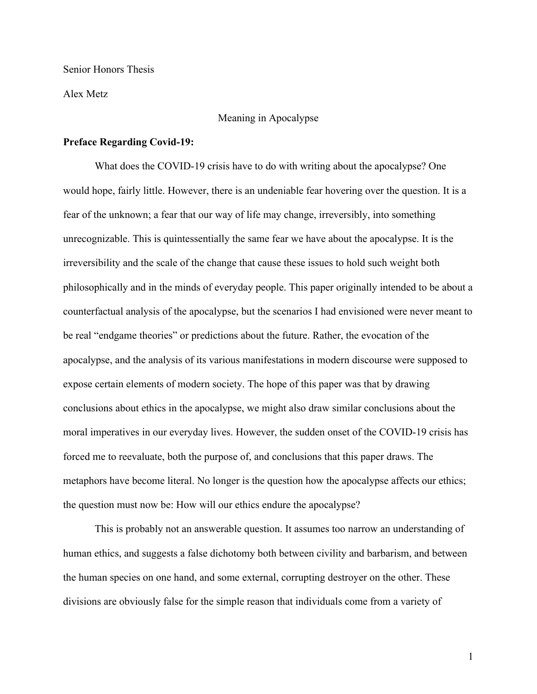Senior Honors Thesis

Alex Metz

#### Meaning in Apocalypse

#### **Preface Regarding Covid-19:**

What does the COVID-19 crisis have to do with writing about the apocalypse? One would hope, fairly little. However, there is an undeniable fear hovering over the question. It is a fear of the unknown; a fear that our way of life may change, irreversibly, into something unrecognizable. This is quintessentially the same fear we have about the apocalypse. It is the irreversibility and the scale of the change that cause these issues to hold such weight both philosophically and in the minds of everyday people. This paper originally intended to be about a counterfactual analysis of the apocalypse, but the scenarios I had envisioned were never meant to be real "endgame theories" or predictions about the future. Rather, the evocation of the apocalypse, and the analysis of its various manifestations in modern discourse were supposed to expose certain elements of modern society. The hope of this paper was that by drawing conclusions about ethics in the apocalypse, we might also draw similar conclusions about the moral imperatives in our everyday lives. However, the sudden onset of the COVID-19 crisis has forced me to reevaluate, both the purpose of, and conclusions that this paper draws. The metaphors have become literal. No longer is the question how the apocalypse affects our ethics; the question must now be: How will our ethics endure the apocalypse?

This is probably not an answerable question. It assumes too narrow an understanding of human ethics, and suggests a false dichotomy both between civility and barbarism, and between the human species on one hand, and some external, corrupting destroyer on the other. These divisions are obviously false for the simple reason that individuals come from a variety of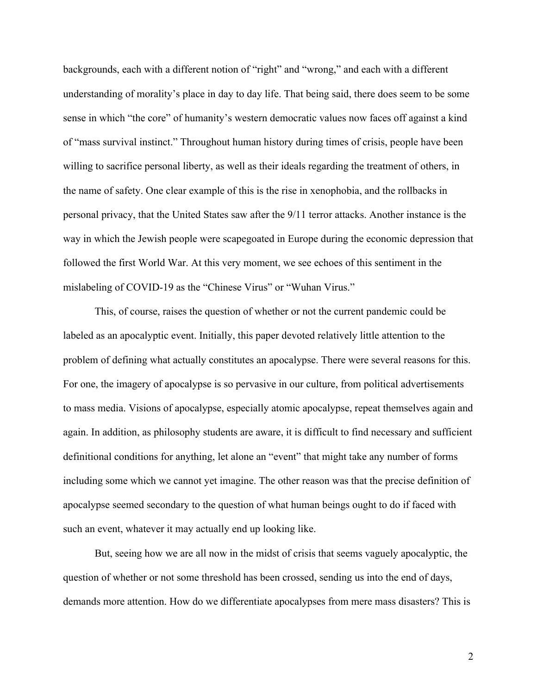backgrounds, each with a different notion of "right" and "wrong," and each with a different understanding of morality's place in day to day life. That being said, there does seem to be some sense in which "the core" of humanity's western democratic values now faces off against a kind of "mass survival instinct." Throughout human history during times of crisis, people have been willing to sacrifice personal liberty, as well as their ideals regarding the treatment of others, in the name of safety. One clear example of this is the rise in xenophobia, and the rollbacks in personal privacy, that the United States saw after the 9/11 terror attacks. Another instance is the way in which the Jewish people were scapegoated in Europe during the economic depression that followed the first World War. At this very moment, we see echoes of this sentiment in the mislabeling of COVID-19 as the "Chinese Virus" or "Wuhan Virus."

This, of course, raises the question of whether or not the current pandemic could be labeled as an apocalyptic event. Initially, this paper devoted relatively little attention to the problem of defining what actually constitutes an apocalypse. There were several reasons for this. For one, the imagery of apocalypse is so pervasive in our culture, from political advertisements to mass media. Visions of apocalypse, especially atomic apocalypse, repeat themselves again and again. In addition, as philosophy students are aware, it is difficult to find necessary and sufficient definitional conditions for anything, let alone an "event" that might take any number of forms including some which we cannot yet imagine. The other reason was that the precise definition of apocalypse seemed secondary to the question of what human beings ought to do if faced with such an event, whatever it may actually end up looking like.

But, seeing how we are all now in the midst of crisis that seems vaguely apocalyptic, the question of whether or not some threshold has been crossed, sending us into the end of days, demands more attention. How do we differentiate apocalypses from mere mass disasters? This is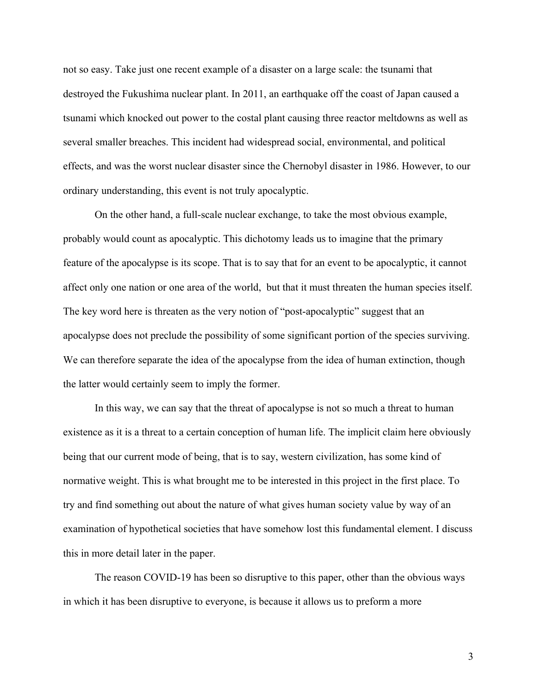not so easy. Take just one recent example of a disaster on a large scale: the tsunami that destroyed the Fukushima nuclear plant. In 2011, an earthquake off the coast of Japan caused a tsunami which knocked out power to the costal plant causing three reactor meltdowns as well as several smaller breaches. This incident had widespread social, environmental, and political effects, and was the worst nuclear disaster since the Chernobyl disaster in 1986. However, to our ordinary understanding, this event is not truly apocalyptic.

On the other hand, a full-scale nuclear exchange, to take the most obvious example, probably would count as apocalyptic. This dichotomy leads us to imagine that the primary feature of the apocalypse is its scope. That is to say that for an event to be apocalyptic, it cannot affect only one nation or one area of the world, but that it must threaten the human species itself. The key word here is threaten as the very notion of "post-apocalyptic" suggest that an apocalypse does not preclude the possibility of some significant portion of the species surviving. We can therefore separate the idea of the apocalypse from the idea of human extinction, though the latter would certainly seem to imply the former.

In this way, we can say that the threat of apocalypse is not so much a threat to human existence as it is a threat to a certain conception of human life. The implicit claim here obviously being that our current mode of being, that is to say, western civilization, has some kind of normative weight. This is what brought me to be interested in this project in the first place. To try and find something out about the nature of what gives human society value by way of an examination of hypothetical societies that have somehow lost this fundamental element. I discuss this in more detail later in the paper.

The reason COVID-19 has been so disruptive to this paper, other than the obvious ways in which it has been disruptive to everyone, is because it allows us to preform a more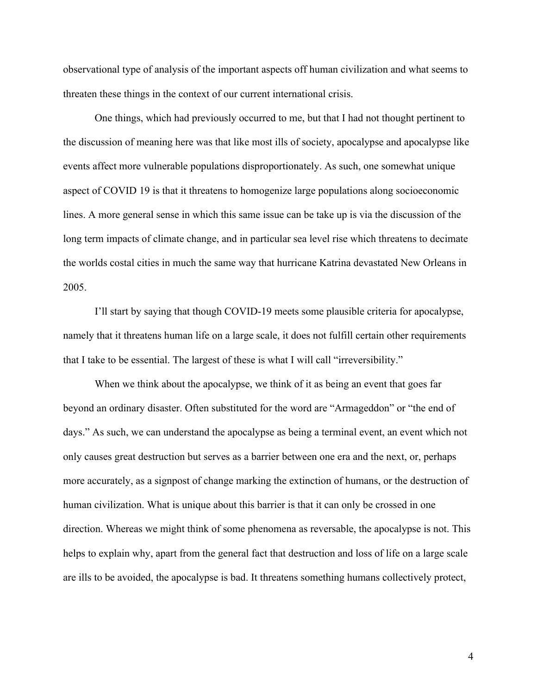observational type of analysis of the important aspects off human civilization and what seems to threaten these things in the context of our current international crisis.

One things, which had previously occurred to me, but that I had not thought pertinent to the discussion of meaning here was that like most ills of society, apocalypse and apocalypse like events affect more vulnerable populations disproportionately. As such, one somewhat unique aspect of COVID 19 is that it threatens to homogenize large populations along socioeconomic lines. A more general sense in which this same issue can be take up is via the discussion of the long term impacts of climate change, and in particular sea level rise which threatens to decimate the worlds costal cities in much the same way that hurricane Katrina devastated New Orleans in 2005.

I'll start by saying that though COVID-19 meets some plausible criteria for apocalypse, namely that it threatens human life on a large scale, it does not fulfill certain other requirements that I take to be essential. The largest of these is what I will call "irreversibility."

When we think about the apocalypse, we think of it as being an event that goes far beyond an ordinary disaster. Often substituted for the word are "Armageddon" or "the end of days." As such, we can understand the apocalypse as being a terminal event, an event which not only causes great destruction but serves as a barrier between one era and the next, or, perhaps more accurately, as a signpost of change marking the extinction of humans, or the destruction of human civilization. What is unique about this barrier is that it can only be crossed in one direction. Whereas we might think of some phenomena as reversable, the apocalypse is not. This helps to explain why, apart from the general fact that destruction and loss of life on a large scale are ills to be avoided, the apocalypse is bad. It threatens something humans collectively protect,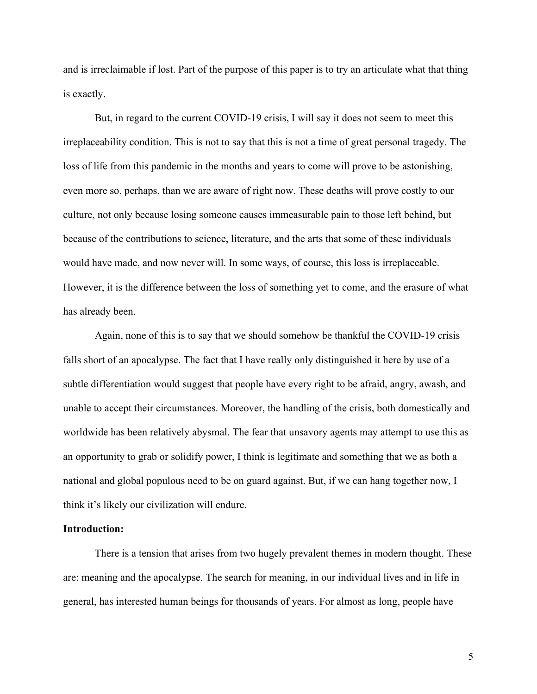and is irreclaimable if lost. Part of the purpose of this paper is to try an articulate what that thing is exactly.

But, in regard to the current COVID-19 crisis, I will say it does not seem to meet this irreplaceability condition. This is not to say that this is not a time of great personal tragedy. The loss of life from this pandemic in the months and years to come will prove to be astonishing, even more so, perhaps, than we are aware of right now. These deaths will prove costly to our culture, not only because losing someone causes immeasurable pain to those left behind, but because of the contributions to science, literature, and the arts that some of these individuals would have made, and now never will. In some ways, of course, this loss is irreplaceable. However, it is the difference between the loss of something yet to come, and the erasure of what has already been.

Again, none of this is to say that we should somehow be thankful the COVID-19 crisis falls short of an apocalypse. The fact that I have really only distinguished it here by use of a subtle differentiation would suggest that people have every right to be afraid, angry, awash, and unable to accept their circumstances. Moreover, the handling of the crisis, both domestically and worldwide has been relatively abysmal. The fear that unsavory agents may attempt to use this as an opportunity to grab or solidify power, I think is legitimate and something that we as both a national and global populous need to be on guard against. But, if we can hang together now, I think it's likely our civilization will endure.

## **Introduction:**

There is a tension that arises from two hugely prevalent themes in modern thought. These are: meaning and the apocalypse. The search for meaning, in our individual lives and in life in general, has interested human beings for thousands of years. For almost as long, people have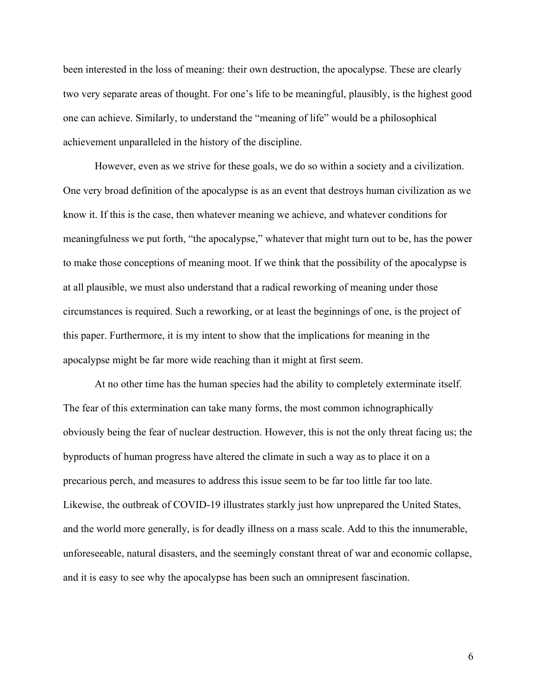been interested in the loss of meaning: their own destruction, the apocalypse. These are clearly two very separate areas of thought. For one's life to be meaningful, plausibly, is the highest good one can achieve. Similarly, to understand the "meaning of life" would be a philosophical achievement unparalleled in the history of the discipline.

However, even as we strive for these goals, we do so within a society and a civilization. One very broad definition of the apocalypse is as an event that destroys human civilization as we know it. If this is the case, then whatever meaning we achieve, and whatever conditions for meaningfulness we put forth, "the apocalypse," whatever that might turn out to be, has the power to make those conceptions of meaning moot. If we think that the possibility of the apocalypse is at all plausible, we must also understand that a radical reworking of meaning under those circumstances is required. Such a reworking, or at least the beginnings of one, is the project of this paper. Furthermore, it is my intent to show that the implications for meaning in the apocalypse might be far more wide reaching than it might at first seem.

At no other time has the human species had the ability to completely exterminate itself. The fear of this extermination can take many forms, the most common ichnographically obviously being the fear of nuclear destruction. However, this is not the only threat facing us; the byproducts of human progress have altered the climate in such a way as to place it on a precarious perch, and measures to address this issue seem to be far too little far too late. Likewise, the outbreak of COVID-19 illustrates starkly just how unprepared the United States, and the world more generally, is for deadly illness on a mass scale. Add to this the innumerable, unforeseeable, natural disasters, and the seemingly constant threat of war and economic collapse, and it is easy to see why the apocalypse has been such an omnipresent fascination.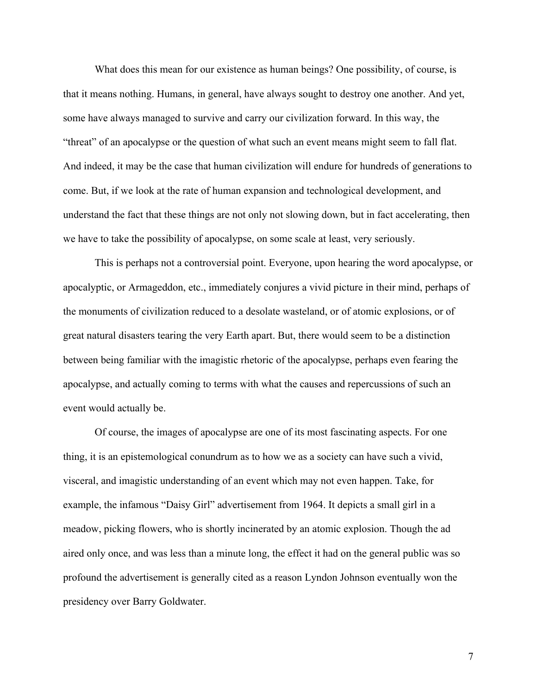What does this mean for our existence as human beings? One possibility, of course, is that it means nothing. Humans, in general, have always sought to destroy one another. And yet, some have always managed to survive and carry our civilization forward. In this way, the "threat" of an apocalypse or the question of what such an event means might seem to fall flat. And indeed, it may be the case that human civilization will endure for hundreds of generations to come. But, if we look at the rate of human expansion and technological development, and understand the fact that these things are not only not slowing down, but in fact accelerating, then we have to take the possibility of apocalypse, on some scale at least, very seriously.

This is perhaps not a controversial point. Everyone, upon hearing the word apocalypse, or apocalyptic, or Armageddon, etc., immediately conjures a vivid picture in their mind, perhaps of the monuments of civilization reduced to a desolate wasteland, or of atomic explosions, or of great natural disasters tearing the very Earth apart. But, there would seem to be a distinction between being familiar with the imagistic rhetoric of the apocalypse, perhaps even fearing the apocalypse, and actually coming to terms with what the causes and repercussions of such an event would actually be.

Of course, the images of apocalypse are one of its most fascinating aspects. For one thing, it is an epistemological conundrum as to how we as a society can have such a vivid, visceral, and imagistic understanding of an event which may not even happen. Take, for example, the infamous "Daisy Girl" advertisement from 1964. It depicts a small girl in a meadow, picking flowers, who is shortly incinerated by an atomic explosion. Though the ad aired only once, and was less than a minute long, the effect it had on the general public was so profound the advertisement is generally cited as a reason Lyndon Johnson eventually won the presidency over Barry Goldwater.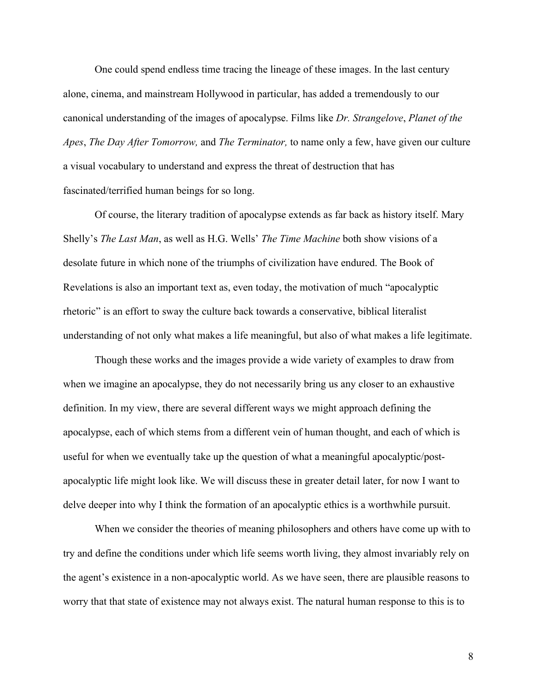One could spend endless time tracing the lineage of these images. In the last century alone, cinema, and mainstream Hollywood in particular, has added a tremendously to our canonical understanding of the images of apocalypse. Films like *Dr. Strangelove*, *Planet of the Apes*, *The Day After Tomorrow,* and *The Terminator,* to name only a few, have given our culture a visual vocabulary to understand and express the threat of destruction that has fascinated/terrified human beings for so long.

Of course, the literary tradition of apocalypse extends as far back as history itself. Mary Shelly's *The Last Man*, as well as H.G. Wells' *The Time Machine* both show visions of a desolate future in which none of the triumphs of civilization have endured. The Book of Revelations is also an important text as, even today, the motivation of much "apocalyptic rhetoric" is an effort to sway the culture back towards a conservative, biblical literalist understanding of not only what makes a life meaningful, but also of what makes a life legitimate.

Though these works and the images provide a wide variety of examples to draw from when we imagine an apocalypse, they do not necessarily bring us any closer to an exhaustive definition. In my view, there are several different ways we might approach defining the apocalypse, each of which stems from a different vein of human thought, and each of which is useful for when we eventually take up the question of what a meaningful apocalyptic/postapocalyptic life might look like. We will discuss these in greater detail later, for now I want to delve deeper into why I think the formation of an apocalyptic ethics is a worthwhile pursuit.

When we consider the theories of meaning philosophers and others have come up with to try and define the conditions under which life seems worth living, they almost invariably rely on the agent's existence in a non-apocalyptic world. As we have seen, there are plausible reasons to worry that that state of existence may not always exist. The natural human response to this is to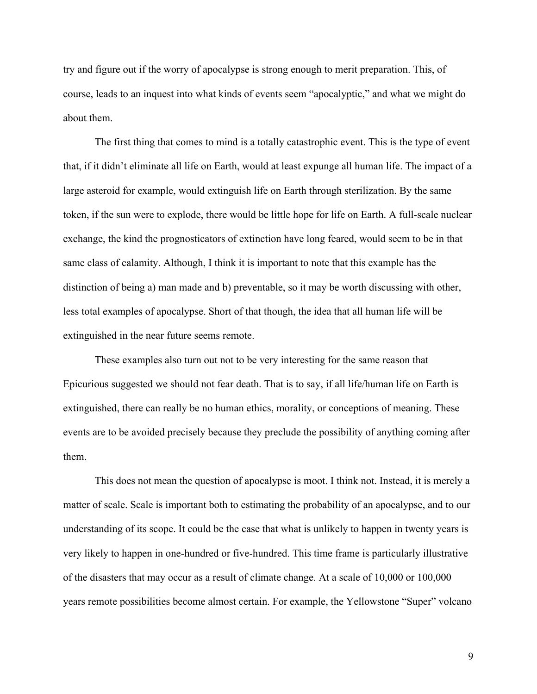try and figure out if the worry of apocalypse is strong enough to merit preparation. This, of course, leads to an inquest into what kinds of events seem "apocalyptic," and what we might do about them.

The first thing that comes to mind is a totally catastrophic event. This is the type of event that, if it didn't eliminate all life on Earth, would at least expunge all human life. The impact of a large asteroid for example, would extinguish life on Earth through sterilization. By the same token, if the sun were to explode, there would be little hope for life on Earth. A full-scale nuclear exchange, the kind the prognosticators of extinction have long feared, would seem to be in that same class of calamity. Although, I think it is important to note that this example has the distinction of being a) man made and b) preventable, so it may be worth discussing with other, less total examples of apocalypse. Short of that though, the idea that all human life will be extinguished in the near future seems remote.

These examples also turn out not to be very interesting for the same reason that Epicurious suggested we should not fear death. That is to say, if all life/human life on Earth is extinguished, there can really be no human ethics, morality, or conceptions of meaning. These events are to be avoided precisely because they preclude the possibility of anything coming after them.

This does not mean the question of apocalypse is moot. I think not. Instead, it is merely a matter of scale. Scale is important both to estimating the probability of an apocalypse, and to our understanding of its scope. It could be the case that what is unlikely to happen in twenty years is very likely to happen in one-hundred or five-hundred. This time frame is particularly illustrative of the disasters that may occur as a result of climate change. At a scale of 10,000 or 100,000 years remote possibilities become almost certain. For example, the Yellowstone "Super" volcano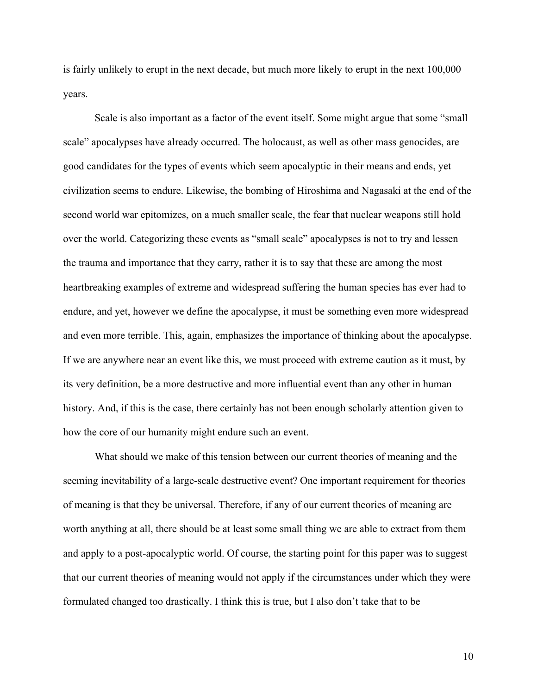is fairly unlikely to erupt in the next decade, but much more likely to erupt in the next 100,000 years.

Scale is also important as a factor of the event itself. Some might argue that some "small scale" apocalypses have already occurred. The holocaust, as well as other mass genocides, are good candidates for the types of events which seem apocalyptic in their means and ends, yet civilization seems to endure. Likewise, the bombing of Hiroshima and Nagasaki at the end of the second world war epitomizes, on a much smaller scale, the fear that nuclear weapons still hold over the world. Categorizing these events as "small scale" apocalypses is not to try and lessen the trauma and importance that they carry, rather it is to say that these are among the most heartbreaking examples of extreme and widespread suffering the human species has ever had to endure, and yet, however we define the apocalypse, it must be something even more widespread and even more terrible. This, again, emphasizes the importance of thinking about the apocalypse. If we are anywhere near an event like this, we must proceed with extreme caution as it must, by its very definition, be a more destructive and more influential event than any other in human history. And, if this is the case, there certainly has not been enough scholarly attention given to how the core of our humanity might endure such an event.

What should we make of this tension between our current theories of meaning and the seeming inevitability of a large-scale destructive event? One important requirement for theories of meaning is that they be universal. Therefore, if any of our current theories of meaning are worth anything at all, there should be at least some small thing we are able to extract from them and apply to a post-apocalyptic world. Of course, the starting point for this paper was to suggest that our current theories of meaning would not apply if the circumstances under which they were formulated changed too drastically. I think this is true, but I also don't take that to be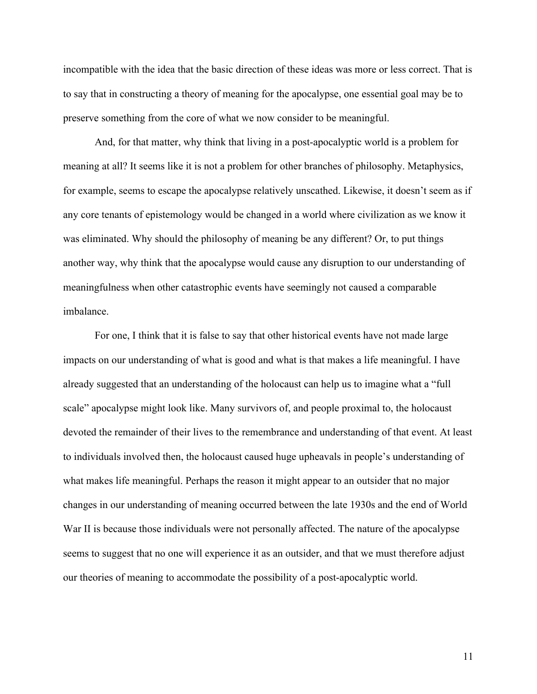incompatible with the idea that the basic direction of these ideas was more or less correct. That is to say that in constructing a theory of meaning for the apocalypse, one essential goal may be to preserve something from the core of what we now consider to be meaningful.

And, for that matter, why think that living in a post-apocalyptic world is a problem for meaning at all? It seems like it is not a problem for other branches of philosophy. Metaphysics, for example, seems to escape the apocalypse relatively unscathed. Likewise, it doesn't seem as if any core tenants of epistemology would be changed in a world where civilization as we know it was eliminated. Why should the philosophy of meaning be any different? Or, to put things another way, why think that the apocalypse would cause any disruption to our understanding of meaningfulness when other catastrophic events have seemingly not caused a comparable imbalance.

For one, I think that it is false to say that other historical events have not made large impacts on our understanding of what is good and what is that makes a life meaningful. I have already suggested that an understanding of the holocaust can help us to imagine what a "full scale" apocalypse might look like. Many survivors of, and people proximal to, the holocaust devoted the remainder of their lives to the remembrance and understanding of that event. At least to individuals involved then, the holocaust caused huge upheavals in people's understanding of what makes life meaningful. Perhaps the reason it might appear to an outsider that no major changes in our understanding of meaning occurred between the late 1930s and the end of World War II is because those individuals were not personally affected. The nature of the apocalypse seems to suggest that no one will experience it as an outsider, and that we must therefore adjust our theories of meaning to accommodate the possibility of a post-apocalyptic world.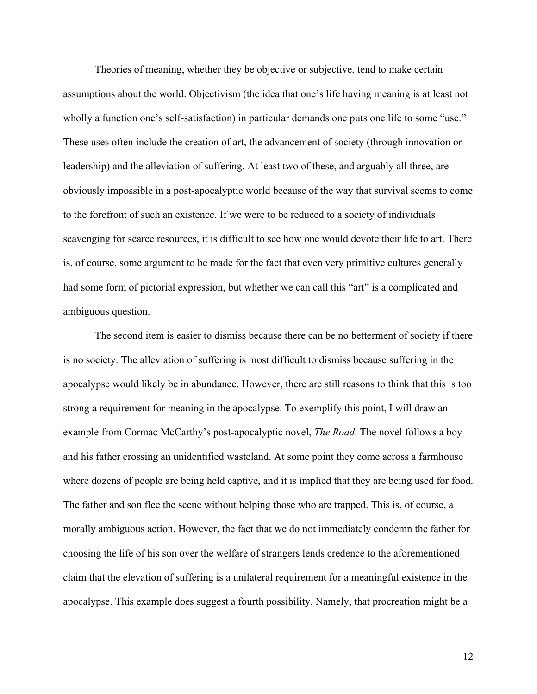Theories of meaning, whether they be objective or subjective, tend to make certain assumptions about the world. Objectivism (the idea that one's life having meaning is at least not wholly a function one's self-satisfaction) in particular demands one puts one life to some "use." These uses often include the creation of art, the advancement of society (through innovation or leadership) and the alleviation of suffering. At least two of these, and arguably all three, are obviously impossible in a post-apocalyptic world because of the way that survival seems to come to the forefront of such an existence. If we were to be reduced to a society of individuals scavenging for scarce resources, it is difficult to see how one would devote their life to art. There is, of course, some argument to be made for the fact that even very primitive cultures generally had some form of pictorial expression, but whether we can call this "art" is a complicated and ambiguous question.

The second item is easier to dismiss because there can be no betterment of society if there is no society. The alleviation of suffering is most difficult to dismiss because suffering in the apocalypse would likely be in abundance. However, there are still reasons to think that this is too strong a requirement for meaning in the apocalypse. To exemplify this point, I will draw an example from Cormac McCarthy's post-apocalyptic novel, *The Road*. The novel follows a boy and his father crossing an unidentified wasteland. At some point they come across a farmhouse where dozens of people are being held captive, and it is implied that they are being used for food. The father and son flee the scene without helping those who are trapped. This is, of course, a morally ambiguous action. However, the fact that we do not immediately condemn the father for choosing the life of his son over the welfare of strangers lends credence to the aforementioned claim that the elevation of suffering is a unilateral requirement for a meaningful existence in the apocalypse. This example does suggest a fourth possibility. Namely, that procreation might be a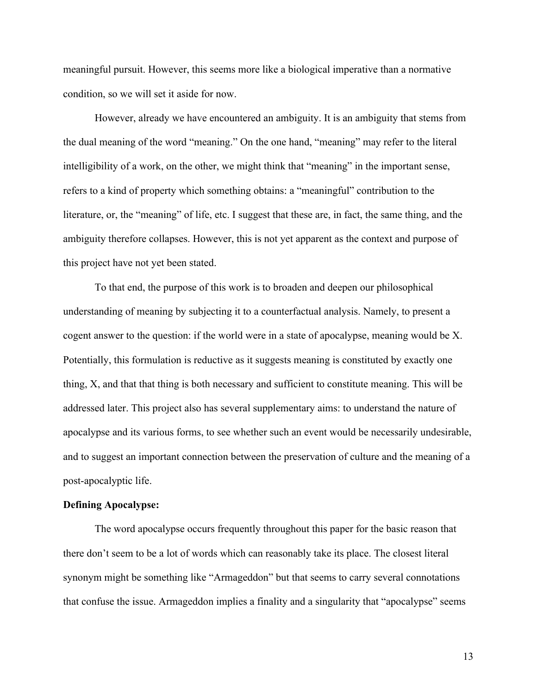meaningful pursuit. However, this seems more like a biological imperative than a normative condition, so we will set it aside for now.

However, already we have encountered an ambiguity. It is an ambiguity that stems from the dual meaning of the word "meaning." On the one hand, "meaning" may refer to the literal intelligibility of a work, on the other, we might think that "meaning" in the important sense, refers to a kind of property which something obtains: a "meaningful" contribution to the literature, or, the "meaning" of life, etc. I suggest that these are, in fact, the same thing, and the ambiguity therefore collapses. However, this is not yet apparent as the context and purpose of this project have not yet been stated.

To that end, the purpose of this work is to broaden and deepen our philosophical understanding of meaning by subjecting it to a counterfactual analysis. Namely, to present a cogent answer to the question: if the world were in a state of apocalypse, meaning would be X. Potentially, this formulation is reductive as it suggests meaning is constituted by exactly one thing, X, and that that thing is both necessary and sufficient to constitute meaning. This will be addressed later. This project also has several supplementary aims: to understand the nature of apocalypse and its various forms, to see whether such an event would be necessarily undesirable, and to suggest an important connection between the preservation of culture and the meaning of a post-apocalyptic life.

#### **Defining Apocalypse:**

The word apocalypse occurs frequently throughout this paper for the basic reason that there don't seem to be a lot of words which can reasonably take its place. The closest literal synonym might be something like "Armageddon" but that seems to carry several connotations that confuse the issue. Armageddon implies a finality and a singularity that "apocalypse" seems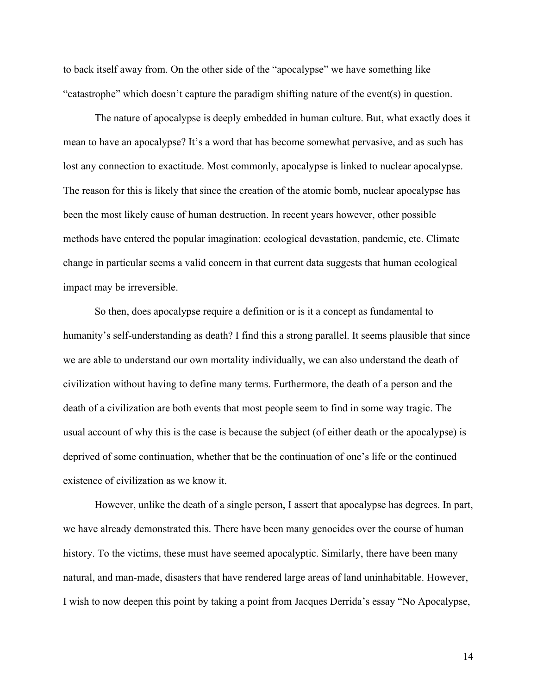to back itself away from. On the other side of the "apocalypse" we have something like "catastrophe" which doesn't capture the paradigm shifting nature of the event(s) in question.

The nature of apocalypse is deeply embedded in human culture. But, what exactly does it mean to have an apocalypse? It's a word that has become somewhat pervasive, and as such has lost any connection to exactitude. Most commonly, apocalypse is linked to nuclear apocalypse. The reason for this is likely that since the creation of the atomic bomb, nuclear apocalypse has been the most likely cause of human destruction. In recent years however, other possible methods have entered the popular imagination: ecological devastation, pandemic, etc. Climate change in particular seems a valid concern in that current data suggests that human ecological impact may be irreversible.

So then, does apocalypse require a definition or is it a concept as fundamental to humanity's self-understanding as death? I find this a strong parallel. It seems plausible that since we are able to understand our own mortality individually, we can also understand the death of civilization without having to define many terms. Furthermore, the death of a person and the death of a civilization are both events that most people seem to find in some way tragic. The usual account of why this is the case is because the subject (of either death or the apocalypse) is deprived of some continuation, whether that be the continuation of one's life or the continued existence of civilization as we know it.

However, unlike the death of a single person, I assert that apocalypse has degrees. In part, we have already demonstrated this. There have been many genocides over the course of human history. To the victims, these must have seemed apocalyptic. Similarly, there have been many natural, and man-made, disasters that have rendered large areas of land uninhabitable. However, I wish to now deepen this point by taking a point from Jacques Derrida's essay "No Apocalypse,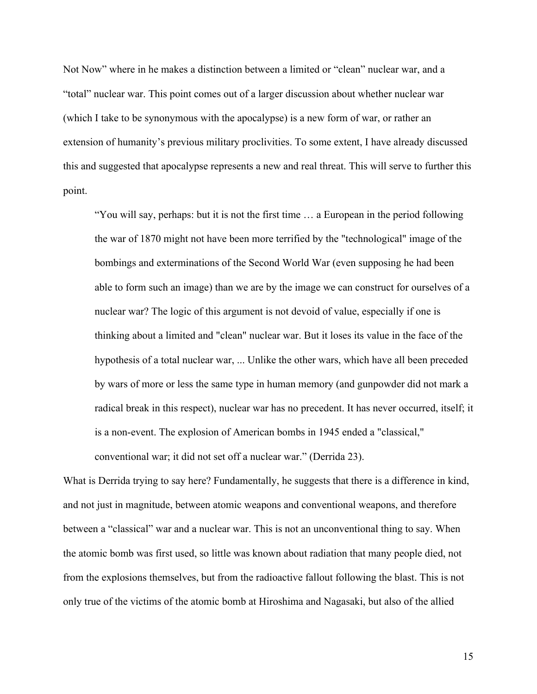Not Now" where in he makes a distinction between a limited or "clean" nuclear war, and a "total" nuclear war. This point comes out of a larger discussion about whether nuclear war (which I take to be synonymous with the apocalypse) is a new form of war, or rather an extension of humanity's previous military proclivities. To some extent, I have already discussed this and suggested that apocalypse represents a new and real threat. This will serve to further this point.

"You will say, perhaps: but it is not the first time … a European in the period following the war of 1870 might not have been more terrified by the "technological" image of the bombings and exterminations of the Second World War (even supposing he had been able to form such an image) than we are by the image we can construct for ourselves of a nuclear war? The logic of this argument is not devoid of value, especially if one is thinking about a limited and "clean" nuclear war. But it loses its value in the face of the hypothesis of a total nuclear war, ... Unlike the other wars, which have all been preceded by wars of more or less the same type in human memory (and gunpowder did not mark a radical break in this respect), nuclear war has no precedent. It has never occurred, itself; it is a non-event. The explosion of American bombs in 1945 ended a "classical," conventional war; it did not set off a nuclear war." (Derrida 23).

What is Derrida trying to say here? Fundamentally, he suggests that there is a difference in kind, and not just in magnitude, between atomic weapons and conventional weapons, and therefore between a "classical" war and a nuclear war. This is not an unconventional thing to say. When the atomic bomb was first used, so little was known about radiation that many people died, not from the explosions themselves, but from the radioactive fallout following the blast. This is not only true of the victims of the atomic bomb at Hiroshima and Nagasaki, but also of the allied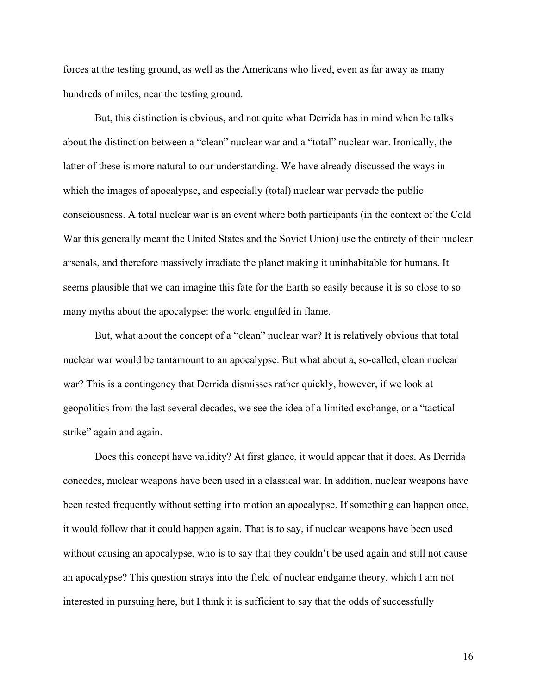forces at the testing ground, as well as the Americans who lived, even as far away as many hundreds of miles, near the testing ground.

But, this distinction is obvious, and not quite what Derrida has in mind when he talks about the distinction between a "clean" nuclear war and a "total" nuclear war. Ironically, the latter of these is more natural to our understanding. We have already discussed the ways in which the images of apocalypse, and especially (total) nuclear war pervade the public consciousness. A total nuclear war is an event where both participants (in the context of the Cold War this generally meant the United States and the Soviet Union) use the entirety of their nuclear arsenals, and therefore massively irradiate the planet making it uninhabitable for humans. It seems plausible that we can imagine this fate for the Earth so easily because it is so close to so many myths about the apocalypse: the world engulfed in flame.

But, what about the concept of a "clean" nuclear war? It is relatively obvious that total nuclear war would be tantamount to an apocalypse. But what about a, so-called, clean nuclear war? This is a contingency that Derrida dismisses rather quickly, however, if we look at geopolitics from the last several decades, we see the idea of a limited exchange, or a "tactical strike" again and again.

Does this concept have validity? At first glance, it would appear that it does. As Derrida concedes, nuclear weapons have been used in a classical war. In addition, nuclear weapons have been tested frequently without setting into motion an apocalypse. If something can happen once, it would follow that it could happen again. That is to say, if nuclear weapons have been used without causing an apocalypse, who is to say that they couldn't be used again and still not cause an apocalypse? This question strays into the field of nuclear endgame theory, which I am not interested in pursuing here, but I think it is sufficient to say that the odds of successfully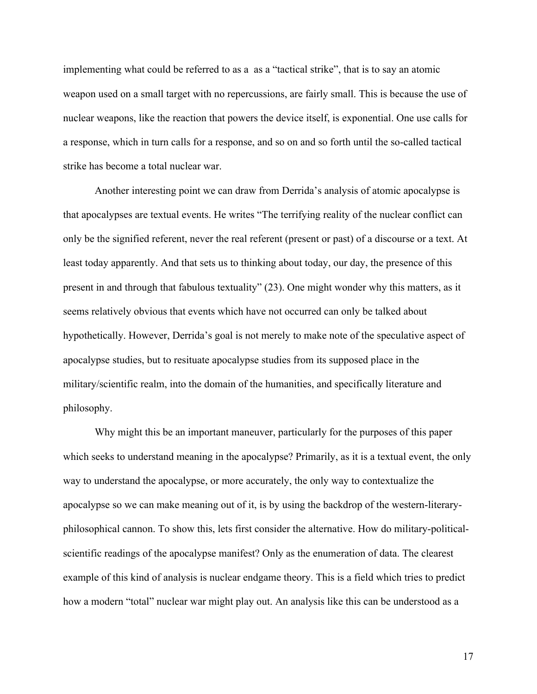implementing what could be referred to as a as a "tactical strike", that is to say an atomic weapon used on a small target with no repercussions, are fairly small. This is because the use of nuclear weapons, like the reaction that powers the device itself, is exponential. One use calls for a response, which in turn calls for a response, and so on and so forth until the so-called tactical strike has become a total nuclear war.

Another interesting point we can draw from Derrida's analysis of atomic apocalypse is that apocalypses are textual events. He writes "The terrifying reality of the nuclear conflict can only be the signified referent, never the real referent (present or past) of a discourse or a text. At least today apparently. And that sets us to thinking about today, our day, the presence of this present in and through that fabulous textuality" (23). One might wonder why this matters, as it seems relatively obvious that events which have not occurred can only be talked about hypothetically. However, Derrida's goal is not merely to make note of the speculative aspect of apocalypse studies, but to resituate apocalypse studies from its supposed place in the military/scientific realm, into the domain of the humanities, and specifically literature and philosophy.

Why might this be an important maneuver, particularly for the purposes of this paper which seeks to understand meaning in the apocalypse? Primarily, as it is a textual event, the only way to understand the apocalypse, or more accurately, the only way to contextualize the apocalypse so we can make meaning out of it, is by using the backdrop of the western-literaryphilosophical cannon. To show this, lets first consider the alternative. How do military-politicalscientific readings of the apocalypse manifest? Only as the enumeration of data. The clearest example of this kind of analysis is nuclear endgame theory. This is a field which tries to predict how a modern "total" nuclear war might play out. An analysis like this can be understood as a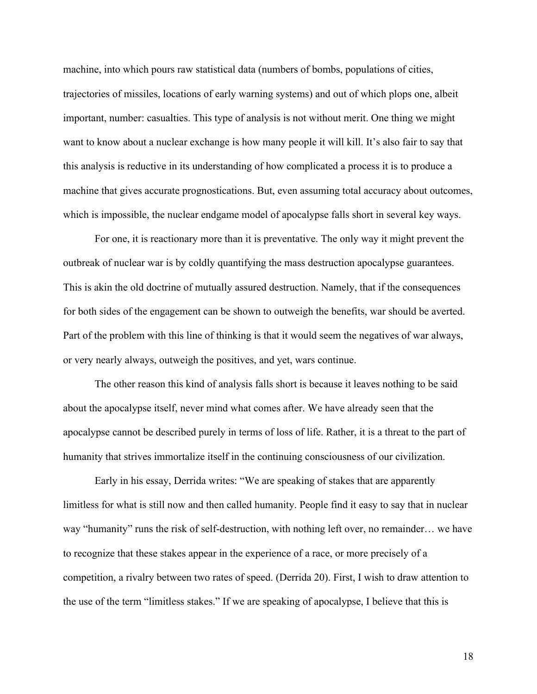machine, into which pours raw statistical data (numbers of bombs, populations of cities, trajectories of missiles, locations of early warning systems) and out of which plops one, albeit important, number: casualties. This type of analysis is not without merit. One thing we might want to know about a nuclear exchange is how many people it will kill. It's also fair to say that this analysis is reductive in its understanding of how complicated a process it is to produce a machine that gives accurate prognostications. But, even assuming total accuracy about outcomes, which is impossible, the nuclear endgame model of apocalypse falls short in several key ways.

For one, it is reactionary more than it is preventative. The only way it might prevent the outbreak of nuclear war is by coldly quantifying the mass destruction apocalypse guarantees. This is akin the old doctrine of mutually assured destruction. Namely, that if the consequences for both sides of the engagement can be shown to outweigh the benefits, war should be averted. Part of the problem with this line of thinking is that it would seem the negatives of war always, or very nearly always, outweigh the positives, and yet, wars continue.

The other reason this kind of analysis falls short is because it leaves nothing to be said about the apocalypse itself, never mind what comes after. We have already seen that the apocalypse cannot be described purely in terms of loss of life. Rather, it is a threat to the part of humanity that strives immortalize itself in the continuing consciousness of our civilization.

Early in his essay, Derrida writes: "We are speaking of stakes that are apparently limitless for what is still now and then called humanity. People find it easy to say that in nuclear way "humanity" runs the risk of self-destruction, with nothing left over, no remainder… we have to recognize that these stakes appear in the experience of a race, or more precisely of a competition, a rivalry between two rates of speed. (Derrida 20). First, I wish to draw attention to the use of the term "limitless stakes." If we are speaking of apocalypse, I believe that this is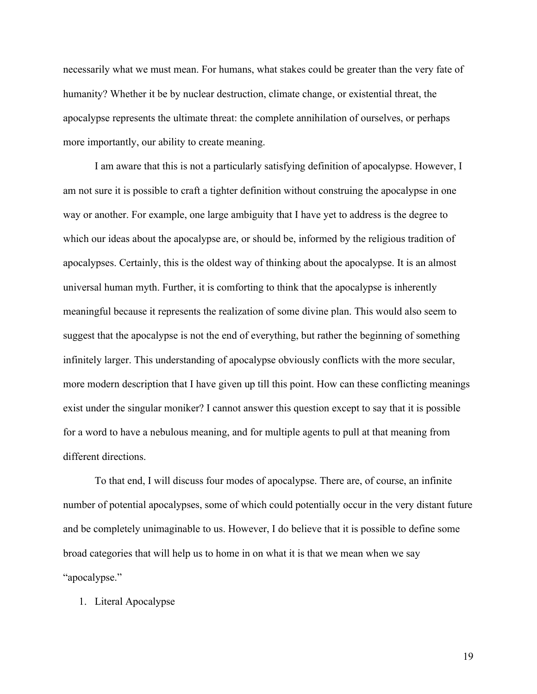necessarily what we must mean. For humans, what stakes could be greater than the very fate of humanity? Whether it be by nuclear destruction, climate change, or existential threat, the apocalypse represents the ultimate threat: the complete annihilation of ourselves, or perhaps more importantly, our ability to create meaning.

I am aware that this is not a particularly satisfying definition of apocalypse. However, I am not sure it is possible to craft a tighter definition without construing the apocalypse in one way or another. For example, one large ambiguity that I have yet to address is the degree to which our ideas about the apocalypse are, or should be, informed by the religious tradition of apocalypses. Certainly, this is the oldest way of thinking about the apocalypse. It is an almost universal human myth. Further, it is comforting to think that the apocalypse is inherently meaningful because it represents the realization of some divine plan. This would also seem to suggest that the apocalypse is not the end of everything, but rather the beginning of something infinitely larger. This understanding of apocalypse obviously conflicts with the more secular, more modern description that I have given up till this point. How can these conflicting meanings exist under the singular moniker? I cannot answer this question except to say that it is possible for a word to have a nebulous meaning, and for multiple agents to pull at that meaning from different directions.

To that end, I will discuss four modes of apocalypse. There are, of course, an infinite number of potential apocalypses, some of which could potentially occur in the very distant future and be completely unimaginable to us. However, I do believe that it is possible to define some broad categories that will help us to home in on what it is that we mean when we say "apocalypse."

1. Literal Apocalypse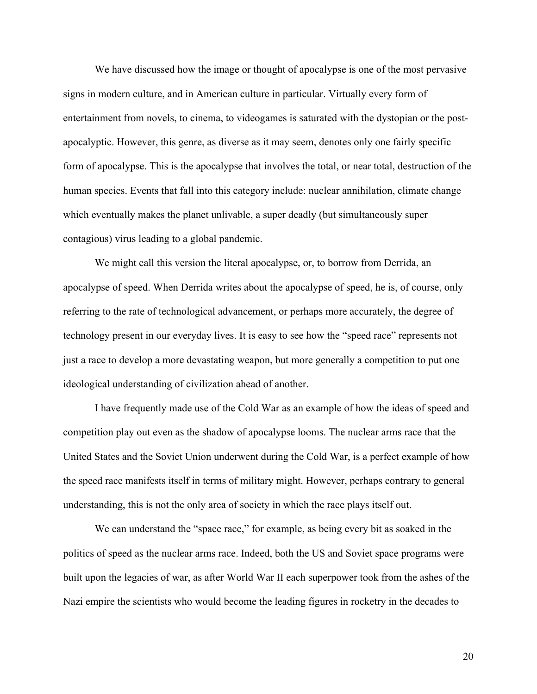We have discussed how the image or thought of apocalypse is one of the most pervasive signs in modern culture, and in American culture in particular. Virtually every form of entertainment from novels, to cinema, to videogames is saturated with the dystopian or the postapocalyptic. However, this genre, as diverse as it may seem, denotes only one fairly specific form of apocalypse. This is the apocalypse that involves the total, or near total, destruction of the human species. Events that fall into this category include: nuclear annihilation, climate change which eventually makes the planet unlivable, a super deadly (but simultaneously super contagious) virus leading to a global pandemic.

We might call this version the literal apocalypse, or, to borrow from Derrida, an apocalypse of speed. When Derrida writes about the apocalypse of speed, he is, of course, only referring to the rate of technological advancement, or perhaps more accurately, the degree of technology present in our everyday lives. It is easy to see how the "speed race" represents not just a race to develop a more devastating weapon, but more generally a competition to put one ideological understanding of civilization ahead of another.

I have frequently made use of the Cold War as an example of how the ideas of speed and competition play out even as the shadow of apocalypse looms. The nuclear arms race that the United States and the Soviet Union underwent during the Cold War, is a perfect example of how the speed race manifests itself in terms of military might. However, perhaps contrary to general understanding, this is not the only area of society in which the race plays itself out.

We can understand the "space race," for example, as being every bit as soaked in the politics of speed as the nuclear arms race. Indeed, both the US and Soviet space programs were built upon the legacies of war, as after World War II each superpower took from the ashes of the Nazi empire the scientists who would become the leading figures in rocketry in the decades to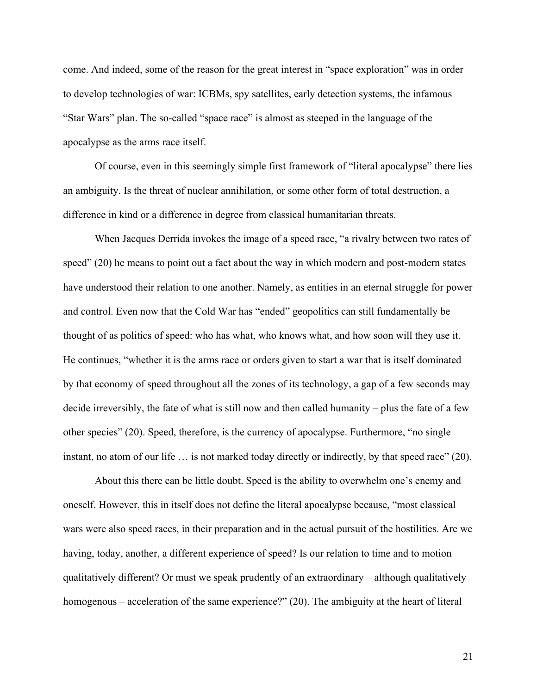come. And indeed, some of the reason for the great interest in "space exploration" was in order to develop technologies of war: ICBMs, spy satellites, early detection systems, the infamous "Star Wars" plan. The so-called "space race" is almost as steeped in the language of the apocalypse as the arms race itself.

Of course, even in this seemingly simple first framework of "literal apocalypse" there lies an ambiguity. Is the threat of nuclear annihilation, or some other form of total destruction, a difference in kind or a difference in degree from classical humanitarian threats.

When Jacques Derrida invokes the image of a speed race, "a rivalry between two rates of speed" (20) he means to point out a fact about the way in which modern and post-modern states have understood their relation to one another. Namely, as entities in an eternal struggle for power and control. Even now that the Cold War has "ended" geopolitics can still fundamentally be thought of as politics of speed: who has what, who knows what, and how soon will they use it. He continues, "whether it is the arms race or orders given to start a war that is itself dominated by that economy of speed throughout all the zones of its technology, a gap of a few seconds may decide irreversibly, the fate of what is still now and then called humanity – plus the fate of a few other species" (20). Speed, therefore, is the currency of apocalypse. Furthermore, "no single instant, no atom of our life ... is not marked today directly or indirectly, by that speed race" (20).

About this there can be little doubt. Speed is the ability to overwhelm one's enemy and oneself. However, this in itself does not define the literal apocalypse because, "most classical wars were also speed races, in their preparation and in the actual pursuit of the hostilities. Are we having, today, another, a different experience of speed? Is our relation to time and to motion qualitatively different? Or must we speak prudently of an extraordinary – although qualitatively homogenous – acceleration of the same experience?" (20). The ambiguity at the heart of literal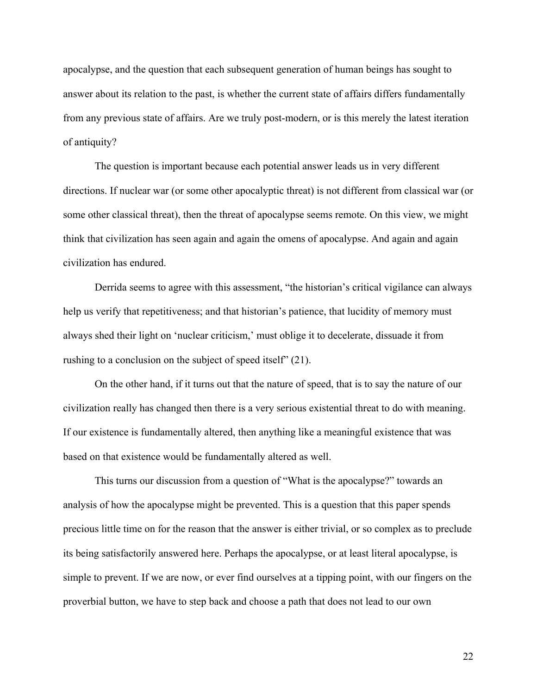apocalypse, and the question that each subsequent generation of human beings has sought to answer about its relation to the past, is whether the current state of affairs differs fundamentally from any previous state of affairs. Are we truly post-modern, or is this merely the latest iteration of antiquity?

The question is important because each potential answer leads us in very different directions. If nuclear war (or some other apocalyptic threat) is not different from classical war (or some other classical threat), then the threat of apocalypse seems remote. On this view, we might think that civilization has seen again and again the omens of apocalypse. And again and again civilization has endured.

Derrida seems to agree with this assessment, "the historian's critical vigilance can always help us verify that repetitiveness; and that historian's patience, that lucidity of memory must always shed their light on 'nuclear criticism,' must oblige it to decelerate, dissuade it from rushing to a conclusion on the subject of speed itself" (21).

On the other hand, if it turns out that the nature of speed, that is to say the nature of our civilization really has changed then there is a very serious existential threat to do with meaning. If our existence is fundamentally altered, then anything like a meaningful existence that was based on that existence would be fundamentally altered as well.

This turns our discussion from a question of "What is the apocalypse?" towards an analysis of how the apocalypse might be prevented. This is a question that this paper spends precious little time on for the reason that the answer is either trivial, or so complex as to preclude its being satisfactorily answered here. Perhaps the apocalypse, or at least literal apocalypse, is simple to prevent. If we are now, or ever find ourselves at a tipping point, with our fingers on the proverbial button, we have to step back and choose a path that does not lead to our own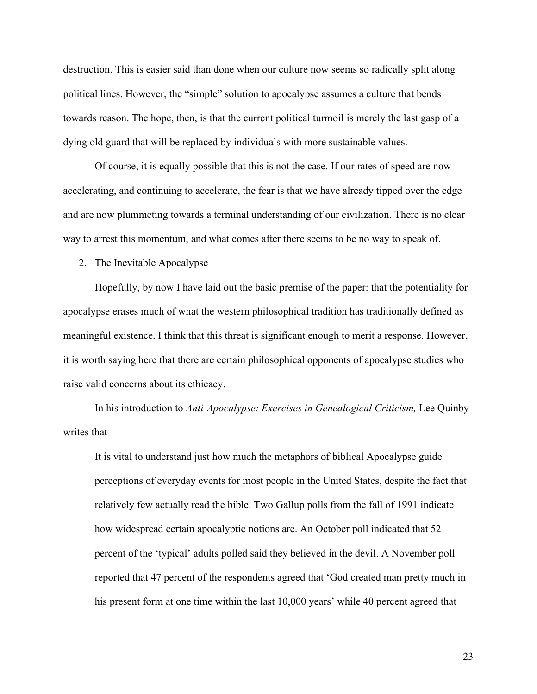destruction. This is easier said than done when our culture now seems so radically split along political lines. However, the "simple" solution to apocalypse assumes a culture that bends towards reason. The hope, then, is that the current political turmoil is merely the last gasp of a dying old guard that will be replaced by individuals with more sustainable values.

Of course, it is equally possible that this is not the case. If our rates of speed are now accelerating, and continuing to accelerate, the fear is that we have already tipped over the edge and are now plummeting towards a terminal understanding of our civilization. There is no clear way to arrest this momentum, and what comes after there seems to be no way to speak of.

2. The Inevitable Apocalypse

Hopefully, by now I have laid out the basic premise of the paper: that the potentiality for apocalypse erases much of what the western philosophical tradition has traditionally defined as meaningful existence. I think that this threat is significant enough to merit a response. However, it is worth saying here that there are certain philosophical opponents of apocalypse studies who raise valid concerns about its ethicacy.

In his introduction to *Anti-Apocalypse: Exercises in Genealogical Criticism*, Lee Quinby writes that

It is vital to understand just how much the metaphors of biblical Apocalypse guide perceptions of everyday events for most people in the United States, despite the fact that relatively few actually read the bible. Two Gallup polls from the fall of 1991 indicate how widespread certain apocalyptic notions are. An October poll indicated that 52 percent of the 'typical' adults polled said they believed in the devil. A November poll reported that 47 percent of the respondents agreed that 'God created man pretty much in his present form at one time within the last 10,000 years' while 40 percent agreed that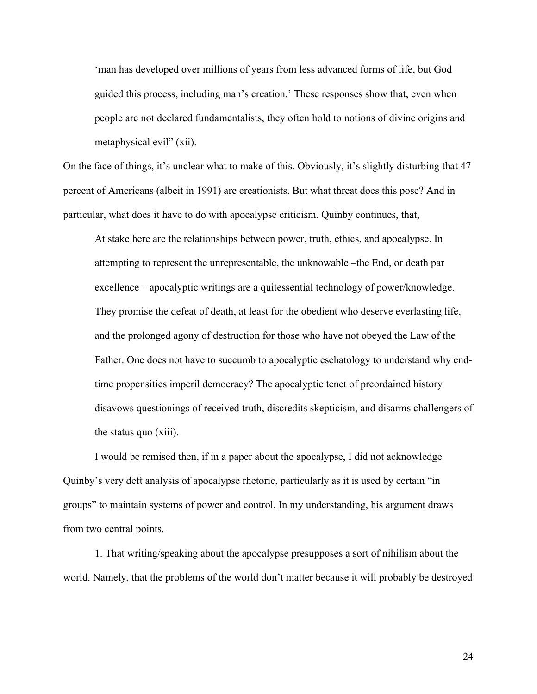'man has developed over millions of years from less advanced forms of life, but God guided this process, including man's creation.' These responses show that, even when people are not declared fundamentalists, they often hold to notions of divine origins and metaphysical evil" (xii).

On the face of things, it's unclear what to make of this. Obviously, it's slightly disturbing that 47 percent of Americans (albeit in 1991) are creationists. But what threat does this pose? And in particular, what does it have to do with apocalypse criticism. Quinby continues, that,

At stake here are the relationships between power, truth, ethics, and apocalypse. In attempting to represent the unrepresentable, the unknowable –the End, or death par excellence – apocalyptic writings are a quitessential technology of power/knowledge. They promise the defeat of death, at least for the obedient who deserve everlasting life, and the prolonged agony of destruction for those who have not obeyed the Law of the Father. One does not have to succumb to apocalyptic eschatology to understand why endtime propensities imperil democracy? The apocalyptic tenet of preordained history disavows questionings of received truth, discredits skepticism, and disarms challengers of the status quo (xiii).

I would be remised then, if in a paper about the apocalypse, I did not acknowledge Quinby's very deft analysis of apocalypse rhetoric, particularly as it is used by certain "in groups" to maintain systems of power and control. In my understanding, his argument draws from two central points.

1. That writing/speaking about the apocalypse presupposes a sort of nihilism about the world. Namely, that the problems of the world don't matter because it will probably be destroyed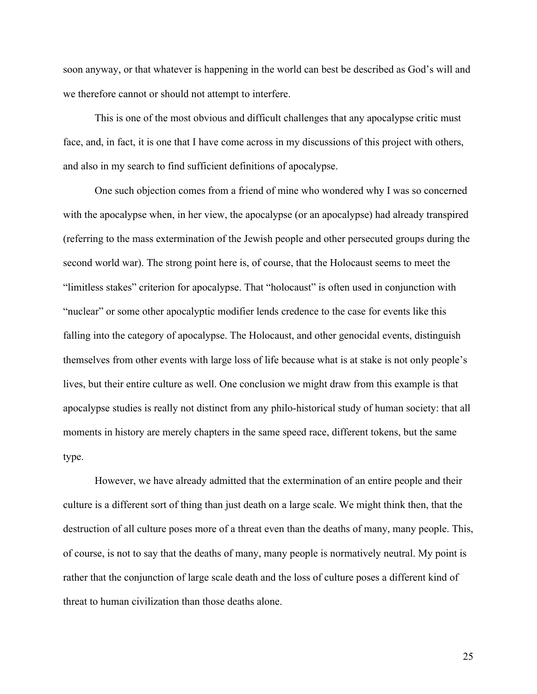soon anyway, or that whatever is happening in the world can best be described as God's will and we therefore cannot or should not attempt to interfere.

This is one of the most obvious and difficult challenges that any apocalypse critic must face, and, in fact, it is one that I have come across in my discussions of this project with others, and also in my search to find sufficient definitions of apocalypse.

One such objection comes from a friend of mine who wondered why I was so concerned with the apocalypse when, in her view, the apocalypse (or an apocalypse) had already transpired (referring to the mass extermination of the Jewish people and other persecuted groups during the second world war). The strong point here is, of course, that the Holocaust seems to meet the "limitless stakes" criterion for apocalypse. That "holocaust" is often used in conjunction with "nuclear" or some other apocalyptic modifier lends credence to the case for events like this falling into the category of apocalypse. The Holocaust, and other genocidal events, distinguish themselves from other events with large loss of life because what is at stake is not only people's lives, but their entire culture as well. One conclusion we might draw from this example is that apocalypse studies is really not distinct from any philo-historical study of human society: that all moments in history are merely chapters in the same speed race, different tokens, but the same type.

However, we have already admitted that the extermination of an entire people and their culture is a different sort of thing than just death on a large scale. We might think then, that the destruction of all culture poses more of a threat even than the deaths of many, many people. This, of course, is not to say that the deaths of many, many people is normatively neutral. My point is rather that the conjunction of large scale death and the loss of culture poses a different kind of threat to human civilization than those deaths alone.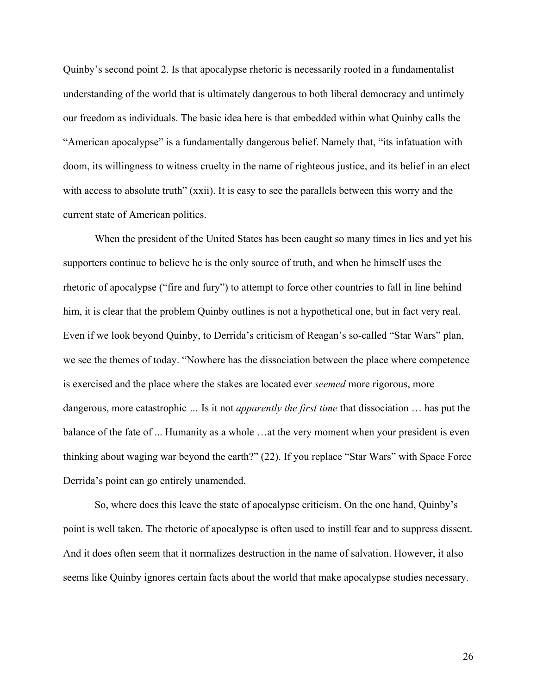Quinby's second point 2. Is that apocalypse rhetoric is necessarily rooted in a fundamentalist understanding of the world that is ultimately dangerous to both liberal democracy and untimely our freedom as individuals. The basic idea here is that embedded within what Quinby calls the "American apocalypse" is a fundamentally dangerous belief. Namely that, "its infatuation with doom, its willingness to witness cruelty in the name of righteous justice, and its belief in an elect with access to absolute truth" (xxii). It is easy to see the parallels between this worry and the current state of American politics.

When the president of the United States has been caught so many times in lies and yet his supporters continue to believe he is the only source of truth, and when he himself uses the rhetoric of apocalypse ("fire and fury") to attempt to force other countries to fall in line behind him, it is clear that the problem Quinby outlines is not a hypothetical one, but in fact very real. Even if we look beyond Quinby, to Derrida's criticism of Reagan's so-called "Star Wars" plan, we see the themes of today. "Nowhere has the dissociation between the place where competence is exercised and the place where the stakes are located ever *seemed* more rigorous, more dangerous, more catastrophic *…* Is it not *apparently the first time* that dissociation … has put the balance of the fate of ... Humanity as a whole …at the very moment when your president is even thinking about waging war beyond the earth?" (22). If you replace "Star Wars" with Space Force Derrida's point can go entirely unamended.

So, where does this leave the state of apocalypse criticism. On the one hand, Quinby's point is well taken. The rhetoric of apocalypse is often used to instill fear and to suppress dissent. And it does often seem that it normalizes destruction in the name of salvation. However, it also seems like Quinby ignores certain facts about the world that make apocalypse studies necessary.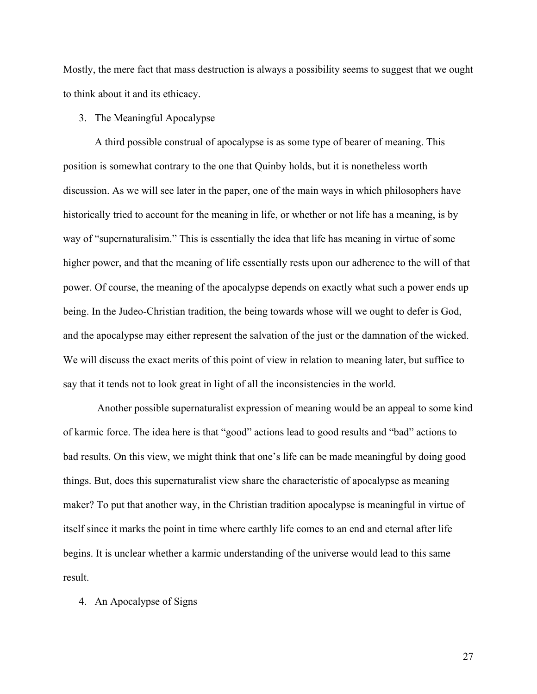Mostly, the mere fact that mass destruction is always a possibility seems to suggest that we ought to think about it and its ethicacy.

## 3. The Meaningful Apocalypse

A third possible construal of apocalypse is as some type of bearer of meaning. This position is somewhat contrary to the one that Quinby holds, but it is nonetheless worth discussion. As we will see later in the paper, one of the main ways in which philosophers have historically tried to account for the meaning in life, or whether or not life has a meaning, is by way of "supernaturalisim." This is essentially the idea that life has meaning in virtue of some higher power, and that the meaning of life essentially rests upon our adherence to the will of that power. Of course, the meaning of the apocalypse depends on exactly what such a power ends up being. In the Judeo-Christian tradition, the being towards whose will we ought to defer is God, and the apocalypse may either represent the salvation of the just or the damnation of the wicked. We will discuss the exact merits of this point of view in relation to meaning later, but suffice to say that it tends not to look great in light of all the inconsistencies in the world.

Another possible supernaturalist expression of meaning would be an appeal to some kind of karmic force. The idea here is that "good" actions lead to good results and "bad" actions to bad results. On this view, we might think that one's life can be made meaningful by doing good things. But, does this supernaturalist view share the characteristic of apocalypse as meaning maker? To put that another way, in the Christian tradition apocalypse is meaningful in virtue of itself since it marks the point in time where earthly life comes to an end and eternal after life begins. It is unclear whether a karmic understanding of the universe would lead to this same result.

#### 4. An Apocalypse of Signs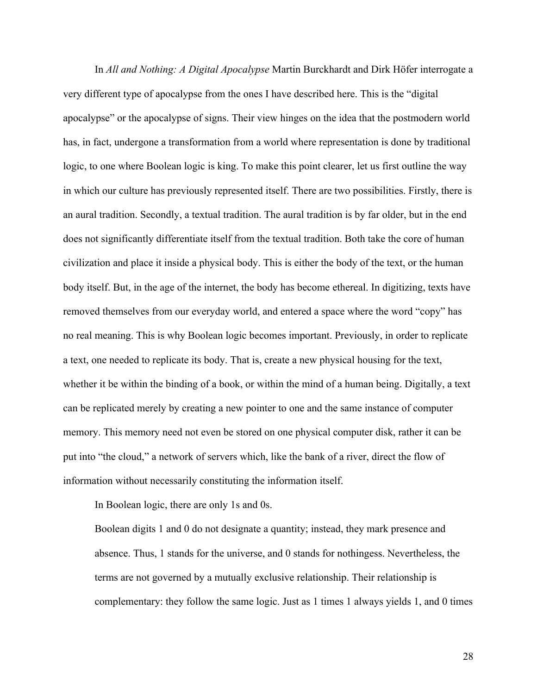In *All and Nothing: A Digital Apocalypse* Martin Burckhardt and Dirk Höfer interrogate a very different type of apocalypse from the ones I have described here. This is the "digital apocalypse" or the apocalypse of signs. Their view hinges on the idea that the postmodern world has, in fact, undergone a transformation from a world where representation is done by traditional logic, to one where Boolean logic is king. To make this point clearer, let us first outline the way in which our culture has previously represented itself. There are two possibilities. Firstly, there is an aural tradition. Secondly, a textual tradition. The aural tradition is by far older, but in the end does not significantly differentiate itself from the textual tradition. Both take the core of human civilization and place it inside a physical body. This is either the body of the text, or the human body itself. But, in the age of the internet, the body has become ethereal. In digitizing, texts have removed themselves from our everyday world, and entered a space where the word "copy" has no real meaning. This is why Boolean logic becomes important. Previously, in order to replicate a text, one needed to replicate its body. That is, create a new physical housing for the text, whether it be within the binding of a book, or within the mind of a human being. Digitally, a text can be replicated merely by creating a new pointer to one and the same instance of computer memory. This memory need not even be stored on one physical computer disk, rather it can be put into "the cloud," a network of servers which, like the bank of a river, direct the flow of information without necessarily constituting the information itself.

In Boolean logic, there are only 1s and 0s.

Boolean digits 1 and 0 do not designate a quantity; instead, they mark presence and absence. Thus, 1 stands for the universe, and 0 stands for nothingess. Nevertheless, the terms are not governed by a mutually exclusive relationship. Their relationship is complementary: they follow the same logic. Just as 1 times 1 always yields 1, and 0 times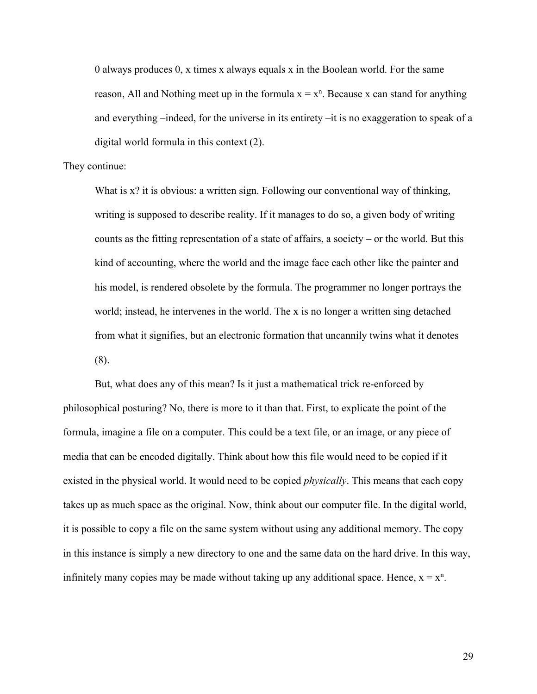0 always produces 0, x times x always equals x in the Boolean world. For the same reason, All and Nothing meet up in the formula  $x = x^n$ . Because x can stand for anything and everything –indeed, for the universe in its entirety –it is no exaggeration to speak of a digital world formula in this context (2).

#### They continue:

What is x? it is obvious: a written sign. Following our conventional way of thinking, writing is supposed to describe reality. If it manages to do so, a given body of writing counts as the fitting representation of a state of affairs, a society – or the world. But this kind of accounting, where the world and the image face each other like the painter and his model, is rendered obsolete by the formula. The programmer no longer portrays the world; instead, he intervenes in the world. The x is no longer a written sing detached from what it signifies, but an electronic formation that uncannily twins what it denotes (8).

But, what does any of this mean? Is it just a mathematical trick re-enforced by philosophical posturing? No, there is more to it than that. First, to explicate the point of the formula, imagine a file on a computer. This could be a text file, or an image, or any piece of media that can be encoded digitally. Think about how this file would need to be copied if it existed in the physical world. It would need to be copied *physically*. This means that each copy takes up as much space as the original. Now, think about our computer file. In the digital world, it is possible to copy a file on the same system without using any additional memory. The copy in this instance is simply a new directory to one and the same data on the hard drive. In this way, infinitely many copies may be made without taking up any additional space. Hence,  $x = x<sup>n</sup>$ .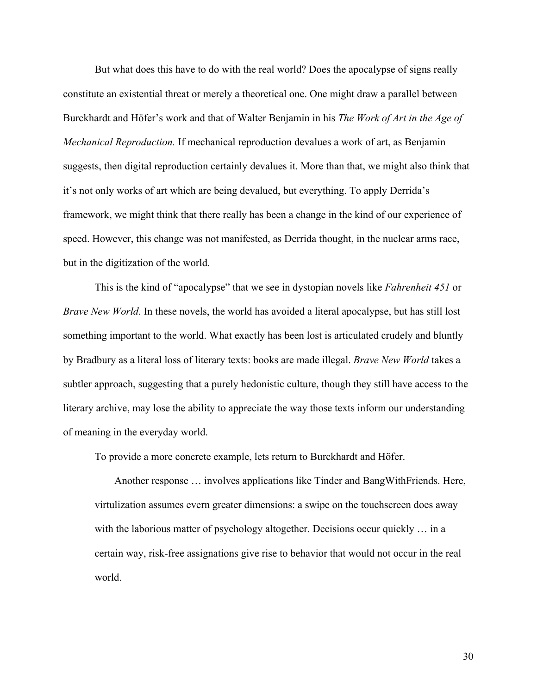But what does this have to do with the real world? Does the apocalypse of signs really constitute an existential threat or merely a theoretical one. One might draw a parallel between Burckhardt and Höfer's work and that of Walter Benjamin in his *The Work of Art in the Age of Mechanical Reproduction.* If mechanical reproduction devalues a work of art, as Benjamin suggests, then digital reproduction certainly devalues it. More than that, we might also think that it's not only works of art which are being devalued, but everything. To apply Derrida's framework, we might think that there really has been a change in the kind of our experience of speed. However, this change was not manifested, as Derrida thought, in the nuclear arms race, but in the digitization of the world.

This is the kind of "apocalypse" that we see in dystopian novels like *Fahrenheit 451* or *Brave New World*. In these novels, the world has avoided a literal apocalypse, but has still lost something important to the world. What exactly has been lost is articulated crudely and bluntly by Bradbury as a literal loss of literary texts: books are made illegal. *Brave New World* takes a subtler approach, suggesting that a purely hedonistic culture, though they still have access to the literary archive, may lose the ability to appreciate the way those texts inform our understanding of meaning in the everyday world.

To provide a more concrete example, lets return to Burckhardt and Höfer.

Another response … involves applications like Tinder and BangWithFriends. Here, virtulization assumes evern greater dimensions: a swipe on the touchscreen does away with the laborious matter of psychology altogether. Decisions occur quickly ... in a certain way, risk-free assignations give rise to behavior that would not occur in the real world.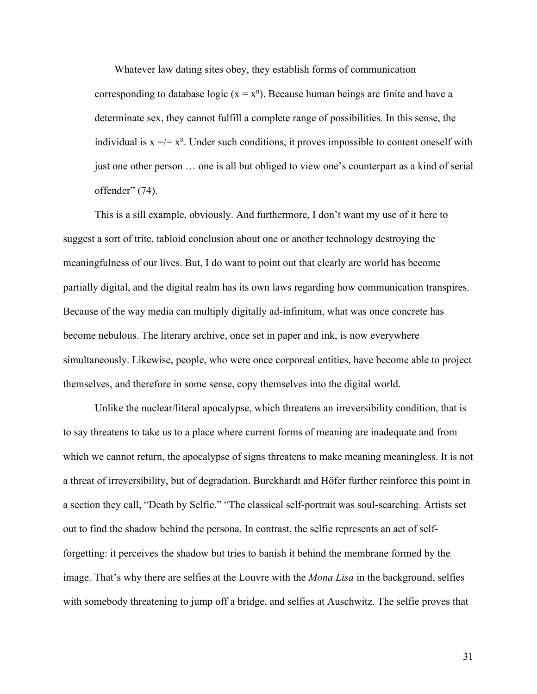Whatever law dating sites obey, they establish forms of communication corresponding to database logic ( $x = x^n$ ). Because human beings are finite and have a determinate sex, they cannot fulfill a complete range of possibilities. In this sense, the individual is  $x = / = x^n$ . Under such conditions, it proves impossible to content oneself with just one other person … one is all but obliged to view one's counterpart as a kind of serial offender" (74).

This is a sill example, obviously. And furthermore, I don't want my use of it here to suggest a sort of trite, tabloid conclusion about one or another technology destroying the meaningfulness of our lives. But, I do want to point out that clearly are world has become partially digital, and the digital realm has its own laws regarding how communication transpires. Because of the way media can multiply digitally ad-infinitum, what was once concrete has become nebulous. The literary archive, once set in paper and ink, is now everywhere simultaneously. Likewise, people, who were once corporeal entities, have become able to project themselves, and therefore in some sense, copy themselves into the digital world.

Unlike the nuclear/literal apocalypse, which threatens an irreversibility condition, that is to say threatens to take us to a place where current forms of meaning are inadequate and from which we cannot return, the apocalypse of signs threatens to make meaning meaningless. It is not a threat of irreversibility, but of degradation. Burckhardt and Höfer further reinforce this point in a section they call, "Death by Selfie." "The classical self-portrait was soul-searching. Artists set out to find the shadow behind the persona. In contrast, the selfie represents an act of selfforgetting: it perceives the shadow but tries to banish it behind the membrane formed by the image. That's why there are selfies at the Louvre with the *Mona Lisa* in the background, selfies with somebody threatening to jump off a bridge, and selfies at Auschwitz. The selfie proves that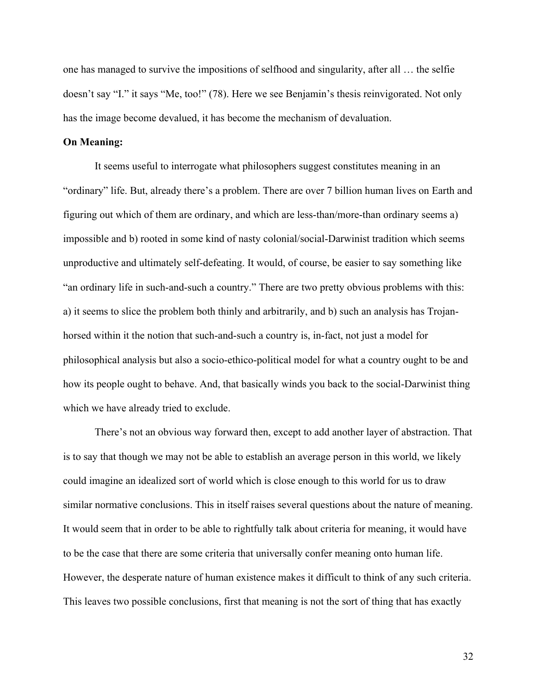one has managed to survive the impositions of selfhood and singularity, after all … the selfie doesn't say "I." it says "Me, too!" (78). Here we see Benjamin's thesis reinvigorated. Not only has the image become devalued, it has become the mechanism of devaluation.

## **On Meaning:**

It seems useful to interrogate what philosophers suggest constitutes meaning in an "ordinary" life. But, already there's a problem. There are over 7 billion human lives on Earth and figuring out which of them are ordinary, and which are less-than/more-than ordinary seems a) impossible and b) rooted in some kind of nasty colonial/social-Darwinist tradition which seems unproductive and ultimately self-defeating. It would, of course, be easier to say something like "an ordinary life in such-and-such a country." There are two pretty obvious problems with this: a) it seems to slice the problem both thinly and arbitrarily, and b) such an analysis has Trojanhorsed within it the notion that such-and-such a country is, in-fact, not just a model for philosophical analysis but also a socio-ethico-political model for what a country ought to be and how its people ought to behave. And, that basically winds you back to the social-Darwinist thing which we have already tried to exclude.

There's not an obvious way forward then, except to add another layer of abstraction. That is to say that though we may not be able to establish an average person in this world, we likely could imagine an idealized sort of world which is close enough to this world for us to draw similar normative conclusions. This in itself raises several questions about the nature of meaning. It would seem that in order to be able to rightfully talk about criteria for meaning, it would have to be the case that there are some criteria that universally confer meaning onto human life. However, the desperate nature of human existence makes it difficult to think of any such criteria. This leaves two possible conclusions, first that meaning is not the sort of thing that has exactly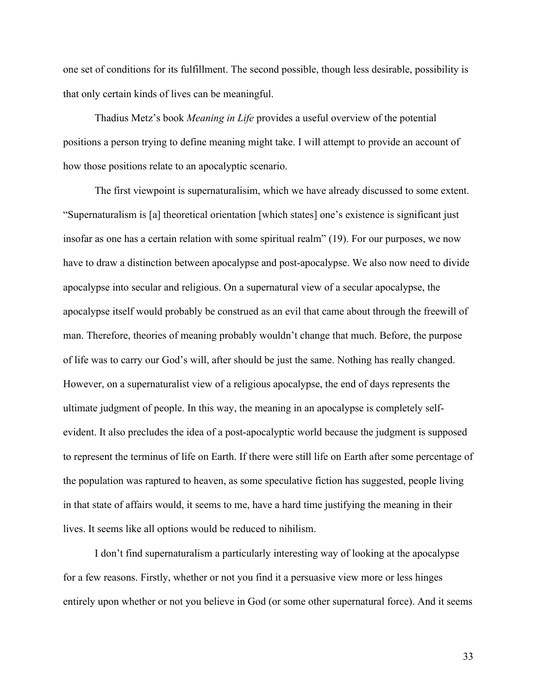one set of conditions for its fulfillment. The second possible, though less desirable, possibility is that only certain kinds of lives can be meaningful.

Thadius Metz's book *Meaning in Life* provides a useful overview of the potential positions a person trying to define meaning might take. I will attempt to provide an account of how those positions relate to an apocalyptic scenario.

The first viewpoint is supernaturalisim, which we have already discussed to some extent. "Supernaturalism is [a] theoretical orientation [which states] one's existence is significant just insofar as one has a certain relation with some spiritual realm" (19). For our purposes, we now have to draw a distinction between apocalypse and post-apocalypse. We also now need to divide apocalypse into secular and religious. On a supernatural view of a secular apocalypse, the apocalypse itself would probably be construed as an evil that came about through the freewill of man. Therefore, theories of meaning probably wouldn't change that much. Before, the purpose of life was to carry our God's will, after should be just the same. Nothing has really changed. However, on a supernaturalist view of a religious apocalypse, the end of days represents the ultimate judgment of people. In this way, the meaning in an apocalypse is completely selfevident. It also precludes the idea of a post-apocalyptic world because the judgment is supposed to represent the terminus of life on Earth. If there were still life on Earth after some percentage of the population was raptured to heaven, as some speculative fiction has suggested, people living in that state of affairs would, it seems to me, have a hard time justifying the meaning in their lives. It seems like all options would be reduced to nihilism.

I don't find supernaturalism a particularly interesting way of looking at the apocalypse for a few reasons. Firstly, whether or not you find it a persuasive view more or less hinges entirely upon whether or not you believe in God (or some other supernatural force). And it seems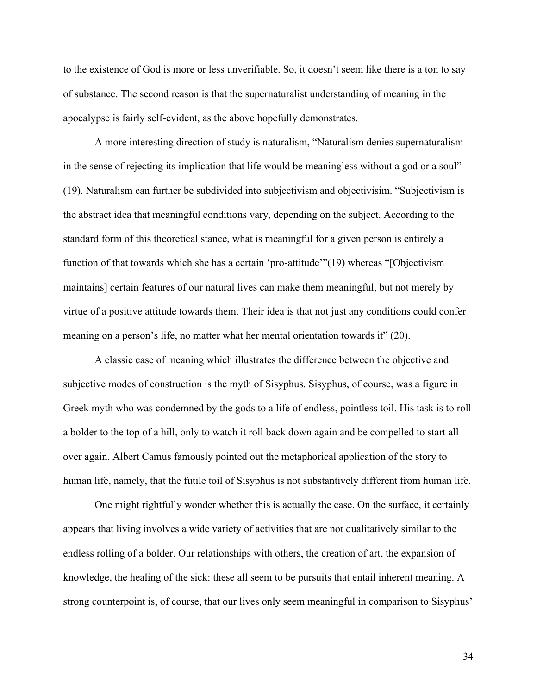to the existence of God is more or less unverifiable. So, it doesn't seem like there is a ton to say of substance. The second reason is that the supernaturalist understanding of meaning in the apocalypse is fairly self-evident, as the above hopefully demonstrates.

A more interesting direction of study is naturalism, "Naturalism denies supernaturalism in the sense of rejecting its implication that life would be meaningless without a god or a soul" (19). Naturalism can further be subdivided into subjectivism and objectivisim. "Subjectivism is the abstract idea that meaningful conditions vary, depending on the subject. According to the standard form of this theoretical stance, what is meaningful for a given person is entirely a function of that towards which she has a certain 'pro-attitude'"(19) whereas "[Objectivism maintains] certain features of our natural lives can make them meaningful, but not merely by virtue of a positive attitude towards them. Their idea is that not just any conditions could confer meaning on a person's life, no matter what her mental orientation towards it" (20).

A classic case of meaning which illustrates the difference between the objective and subjective modes of construction is the myth of Sisyphus. Sisyphus, of course, was a figure in Greek myth who was condemned by the gods to a life of endless, pointless toil. His task is to roll a bolder to the top of a hill, only to watch it roll back down again and be compelled to start all over again. Albert Camus famously pointed out the metaphorical application of the story to human life, namely, that the futile toil of Sisyphus is not substantively different from human life.

One might rightfully wonder whether this is actually the case. On the surface, it certainly appears that living involves a wide variety of activities that are not qualitatively similar to the endless rolling of a bolder. Our relationships with others, the creation of art, the expansion of knowledge, the healing of the sick: these all seem to be pursuits that entail inherent meaning. A strong counterpoint is, of course, that our lives only seem meaningful in comparison to Sisyphus'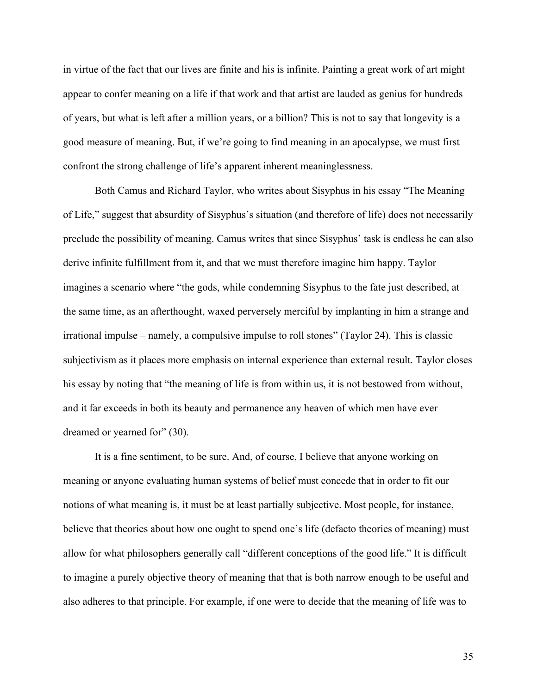in virtue of the fact that our lives are finite and his is infinite. Painting a great work of art might appear to confer meaning on a life if that work and that artist are lauded as genius for hundreds of years, but what is left after a million years, or a billion? This is not to say that longevity is a good measure of meaning. But, if we're going to find meaning in an apocalypse, we must first confront the strong challenge of life's apparent inherent meaninglessness.

Both Camus and Richard Taylor, who writes about Sisyphus in his essay "The Meaning of Life," suggest that absurdity of Sisyphus's situation (and therefore of life) does not necessarily preclude the possibility of meaning. Camus writes that since Sisyphus' task is endless he can also derive infinite fulfillment from it, and that we must therefore imagine him happy. Taylor imagines a scenario where "the gods, while condemning Sisyphus to the fate just described, at the same time, as an afterthought, waxed perversely merciful by implanting in him a strange and irrational impulse – namely, a compulsive impulse to roll stones" (Taylor 24). This is classic subjectivism as it places more emphasis on internal experience than external result. Taylor closes his essay by noting that "the meaning of life is from within us, it is not bestowed from without, and it far exceeds in both its beauty and permanence any heaven of which men have ever dreamed or yearned for" (30).

It is a fine sentiment, to be sure. And, of course, I believe that anyone working on meaning or anyone evaluating human systems of belief must concede that in order to fit our notions of what meaning is, it must be at least partially subjective. Most people, for instance, believe that theories about how one ought to spend one's life (defacto theories of meaning) must allow for what philosophers generally call "different conceptions of the good life." It is difficult to imagine a purely objective theory of meaning that that is both narrow enough to be useful and also adheres to that principle. For example, if one were to decide that the meaning of life was to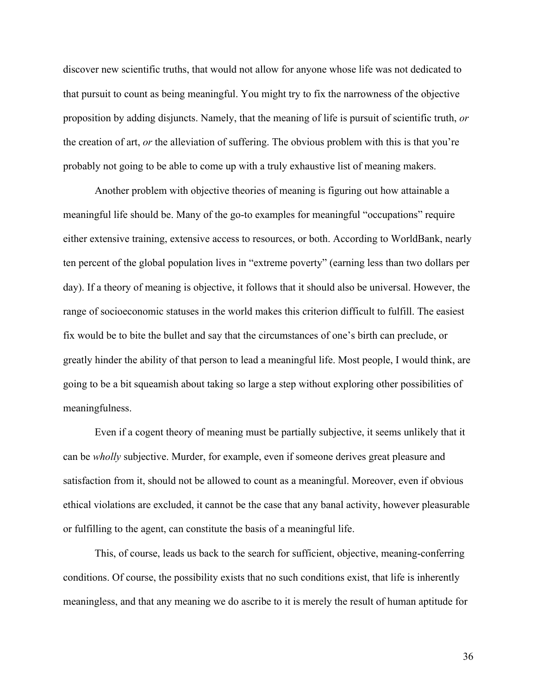discover new scientific truths, that would not allow for anyone whose life was not dedicated to that pursuit to count as being meaningful. You might try to fix the narrowness of the objective proposition by adding disjuncts. Namely, that the meaning of life is pursuit of scientific truth, *or* the creation of art, *or* the alleviation of suffering. The obvious problem with this is that you're probably not going to be able to come up with a truly exhaustive list of meaning makers.

Another problem with objective theories of meaning is figuring out how attainable a meaningful life should be. Many of the go-to examples for meaningful "occupations" require either extensive training, extensive access to resources, or both. According to WorldBank, nearly ten percent of the global population lives in "extreme poverty" (earning less than two dollars per day). If a theory of meaning is objective, it follows that it should also be universal. However, the range of socioeconomic statuses in the world makes this criterion difficult to fulfill. The easiest fix would be to bite the bullet and say that the circumstances of one's birth can preclude, or greatly hinder the ability of that person to lead a meaningful life. Most people, I would think, are going to be a bit squeamish about taking so large a step without exploring other possibilities of meaningfulness.

Even if a cogent theory of meaning must be partially subjective, it seems unlikely that it can be *wholly* subjective. Murder, for example, even if someone derives great pleasure and satisfaction from it, should not be allowed to count as a meaningful. Moreover, even if obvious ethical violations are excluded, it cannot be the case that any banal activity, however pleasurable or fulfilling to the agent, can constitute the basis of a meaningful life.

This, of course, leads us back to the search for sufficient, objective, meaning-conferring conditions. Of course, the possibility exists that no such conditions exist, that life is inherently meaningless, and that any meaning we do ascribe to it is merely the result of human aptitude for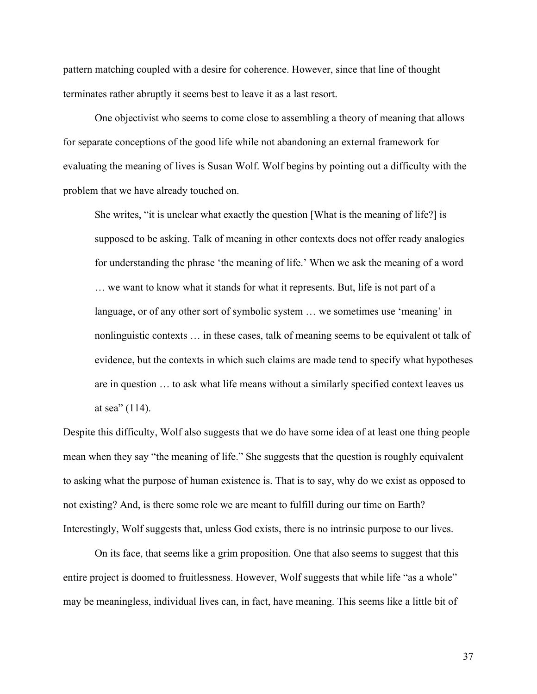pattern matching coupled with a desire for coherence. However, since that line of thought terminates rather abruptly it seems best to leave it as a last resort.

One objectivist who seems to come close to assembling a theory of meaning that allows for separate conceptions of the good life while not abandoning an external framework for evaluating the meaning of lives is Susan Wolf. Wolf begins by pointing out a difficulty with the problem that we have already touched on.

She writes, "it is unclear what exactly the question [What is the meaning of life?] is supposed to be asking. Talk of meaning in other contexts does not offer ready analogies for understanding the phrase 'the meaning of life.' When we ask the meaning of a word … we want to know what it stands for what it represents. But, life is not part of a language, or of any other sort of symbolic system … we sometimes use 'meaning' in nonlinguistic contexts … in these cases, talk of meaning seems to be equivalent ot talk of evidence, but the contexts in which such claims are made tend to specify what hypotheses are in question … to ask what life means without a similarly specified context leaves us at sea" (114).

Despite this difficulty, Wolf also suggests that we do have some idea of at least one thing people mean when they say "the meaning of life." She suggests that the question is roughly equivalent to asking what the purpose of human existence is. That is to say, why do we exist as opposed to not existing? And, is there some role we are meant to fulfill during our time on Earth? Interestingly, Wolf suggests that, unless God exists, there is no intrinsic purpose to our lives.

On its face, that seems like a grim proposition. One that also seems to suggest that this entire project is doomed to fruitlessness. However, Wolf suggests that while life "as a whole" may be meaningless, individual lives can, in fact, have meaning. This seems like a little bit of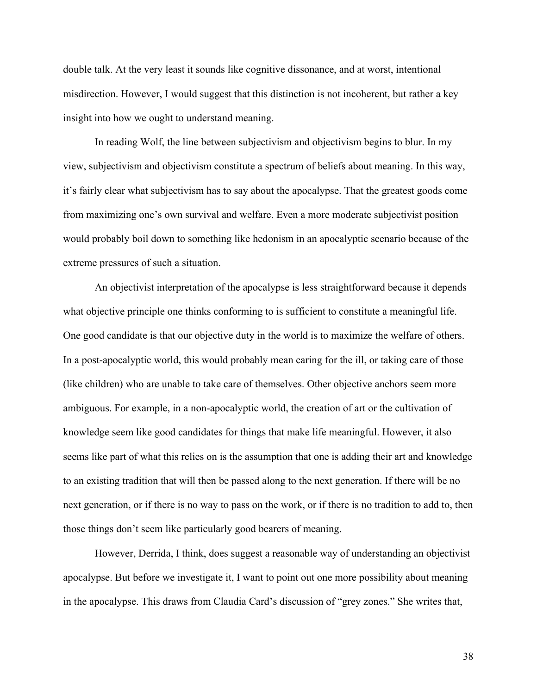double talk. At the very least it sounds like cognitive dissonance, and at worst, intentional misdirection. However, I would suggest that this distinction is not incoherent, but rather a key insight into how we ought to understand meaning.

In reading Wolf, the line between subjectivism and objectivism begins to blur. In my view, subjectivism and objectivism constitute a spectrum of beliefs about meaning. In this way, it's fairly clear what subjectivism has to say about the apocalypse. That the greatest goods come from maximizing one's own survival and welfare. Even a more moderate subjectivist position would probably boil down to something like hedonism in an apocalyptic scenario because of the extreme pressures of such a situation.

An objectivist interpretation of the apocalypse is less straightforward because it depends what objective principle one thinks conforming to is sufficient to constitute a meaningful life. One good candidate is that our objective duty in the world is to maximize the welfare of others. In a post-apocalyptic world, this would probably mean caring for the ill, or taking care of those (like children) who are unable to take care of themselves. Other objective anchors seem more ambiguous. For example, in a non-apocalyptic world, the creation of art or the cultivation of knowledge seem like good candidates for things that make life meaningful. However, it also seems like part of what this relies on is the assumption that one is adding their art and knowledge to an existing tradition that will then be passed along to the next generation. If there will be no next generation, or if there is no way to pass on the work, or if there is no tradition to add to, then those things don't seem like particularly good bearers of meaning.

However, Derrida, I think, does suggest a reasonable way of understanding an objectivist apocalypse. But before we investigate it, I want to point out one more possibility about meaning in the apocalypse. This draws from Claudia Card's discussion of "grey zones." She writes that,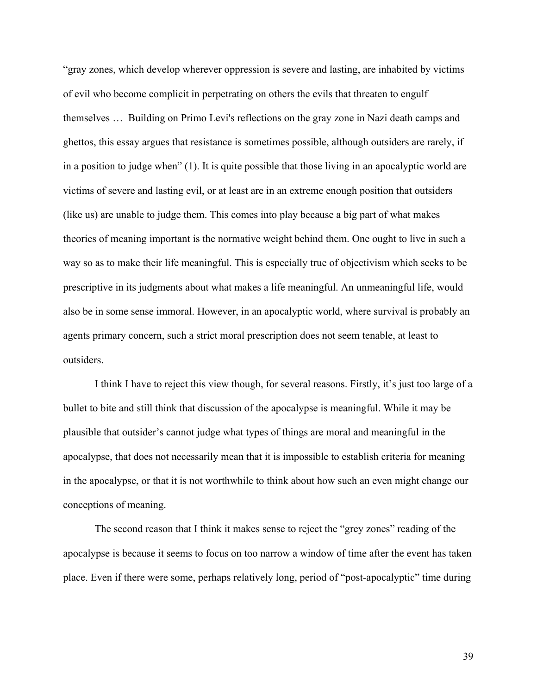"gray zones, which develop wherever oppression is severe and lasting, are inhabited by victims of evil who become complicit in perpetrating on others the evils that threaten to engulf themselves … Building on Primo Levi's reflections on the gray zone in Nazi death camps and ghettos, this essay argues that resistance is sometimes possible, although outsiders are rarely, if in a position to judge when" (1). It is quite possible that those living in an apocalyptic world are victims of severe and lasting evil, or at least are in an extreme enough position that outsiders (like us) are unable to judge them. This comes into play because a big part of what makes theories of meaning important is the normative weight behind them. One ought to live in such a way so as to make their life meaningful. This is especially true of objectivism which seeks to be prescriptive in its judgments about what makes a life meaningful. An unmeaningful life, would also be in some sense immoral. However, in an apocalyptic world, where survival is probably an agents primary concern, such a strict moral prescription does not seem tenable, at least to outsiders.

I think I have to reject this view though, for several reasons. Firstly, it's just too large of a bullet to bite and still think that discussion of the apocalypse is meaningful. While it may be plausible that outsider's cannot judge what types of things are moral and meaningful in the apocalypse, that does not necessarily mean that it is impossible to establish criteria for meaning in the apocalypse, or that it is not worthwhile to think about how such an even might change our conceptions of meaning.

The second reason that I think it makes sense to reject the "grey zones" reading of the apocalypse is because it seems to focus on too narrow a window of time after the event has taken place. Even if there were some, perhaps relatively long, period of "post-apocalyptic" time during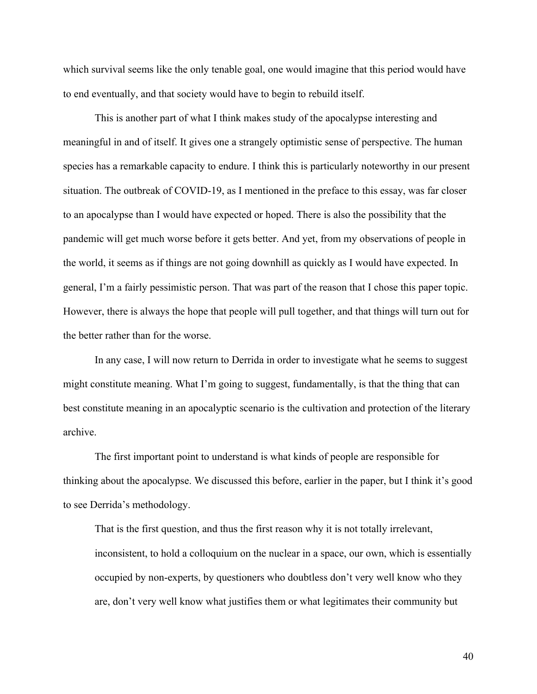which survival seems like the only tenable goal, one would imagine that this period would have to end eventually, and that society would have to begin to rebuild itself.

This is another part of what I think makes study of the apocalypse interesting and meaningful in and of itself. It gives one a strangely optimistic sense of perspective. The human species has a remarkable capacity to endure. I think this is particularly noteworthy in our present situation. The outbreak of COVID-19, as I mentioned in the preface to this essay, was far closer to an apocalypse than I would have expected or hoped. There is also the possibility that the pandemic will get much worse before it gets better. And yet, from my observations of people in the world, it seems as if things are not going downhill as quickly as I would have expected. In general, I'm a fairly pessimistic person. That was part of the reason that I chose this paper topic. However, there is always the hope that people will pull together, and that things will turn out for the better rather than for the worse.

In any case, I will now return to Derrida in order to investigate what he seems to suggest might constitute meaning. What I'm going to suggest, fundamentally, is that the thing that can best constitute meaning in an apocalyptic scenario is the cultivation and protection of the literary archive.

The first important point to understand is what kinds of people are responsible for thinking about the apocalypse. We discussed this before, earlier in the paper, but I think it's good to see Derrida's methodology.

That is the first question, and thus the first reason why it is not totally irrelevant, inconsistent, to hold a colloquium on the nuclear in a space, our own, which is essentially occupied by non-experts, by questioners who doubtless don't very well know who they are, don't very well know what justifies them or what legitimates their community but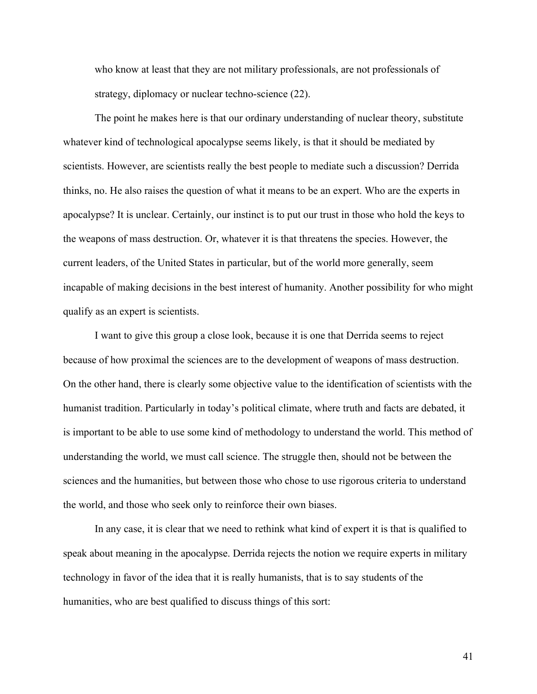who know at least that they are not military professionals, are not professionals of strategy, diplomacy or nuclear techno-science (22).

The point he makes here is that our ordinary understanding of nuclear theory, substitute whatever kind of technological apocalypse seems likely, is that it should be mediated by scientists. However, are scientists really the best people to mediate such a discussion? Derrida thinks, no. He also raises the question of what it means to be an expert. Who are the experts in apocalypse? It is unclear. Certainly, our instinct is to put our trust in those who hold the keys to the weapons of mass destruction. Or, whatever it is that threatens the species. However, the current leaders, of the United States in particular, but of the world more generally, seem incapable of making decisions in the best interest of humanity. Another possibility for who might qualify as an expert is scientists.

I want to give this group a close look, because it is one that Derrida seems to reject because of how proximal the sciences are to the development of weapons of mass destruction. On the other hand, there is clearly some objective value to the identification of scientists with the humanist tradition. Particularly in today's political climate, where truth and facts are debated, it is important to be able to use some kind of methodology to understand the world. This method of understanding the world, we must call science. The struggle then, should not be between the sciences and the humanities, but between those who chose to use rigorous criteria to understand the world, and those who seek only to reinforce their own biases.

In any case, it is clear that we need to rethink what kind of expert it is that is qualified to speak about meaning in the apocalypse. Derrida rejects the notion we require experts in military technology in favor of the idea that it is really humanists, that is to say students of the humanities, who are best qualified to discuss things of this sort: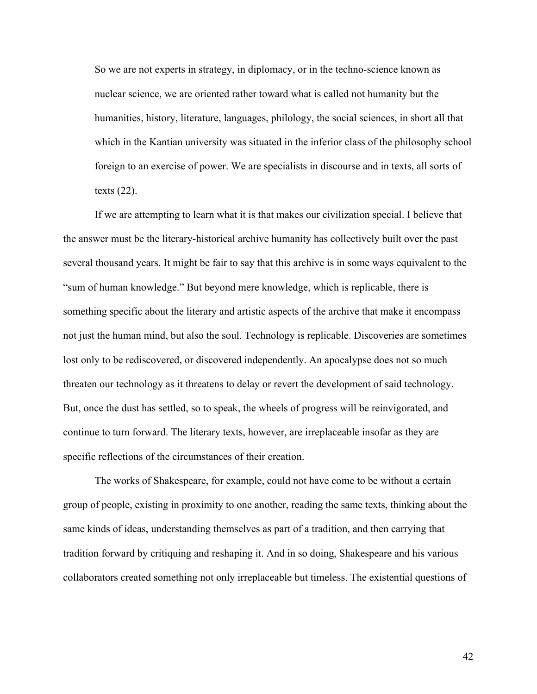So we are not experts in strategy, in diplomacy, or in the techno-science known as nuclear science, we are oriented rather toward what is called not humanity but the humanities, history, literature, languages, philology, the social sciences, in short all that which in the Kantian university was situated in the inferior class of the philosophy school foreign to an exercise of power. We are specialists in discourse and in texts, all sorts of texts (22).

If we are attempting to learn what it is that makes our civilization special. I believe that the answer must be the literary-historical archive humanity has collectively built over the past several thousand years. It might be fair to say that this archive is in some ways equivalent to the "sum of human knowledge." But beyond mere knowledge, which is replicable, there is something specific about the literary and artistic aspects of the archive that make it encompass not just the human mind, but also the soul. Technology is replicable. Discoveries are sometimes lost only to be rediscovered, or discovered independently. An apocalypse does not so much threaten our technology as it threatens to delay or revert the development of said technology. But, once the dust has settled, so to speak, the wheels of progress will be reinvigorated, and continue to turn forward. The literary texts, however, are irreplaceable insofar as they are specific reflections of the circumstances of their creation.

The works of Shakespeare, for example, could not have come to be without a certain group of people, existing in proximity to one another, reading the same texts, thinking about the same kinds of ideas, understanding themselves as part of a tradition, and then carrying that tradition forward by critiquing and reshaping it. And in so doing, Shakespeare and his various collaborators created something not only irreplaceable but timeless. The existential questions of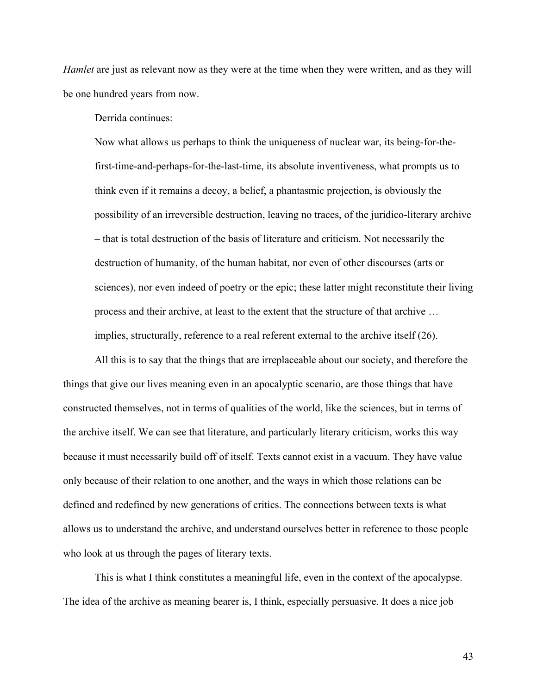*Hamlet* are just as relevant now as they were at the time when they were written, and as they will be one hundred years from now.

Derrida continues:

Now what allows us perhaps to think the uniqueness of nuclear war, its being-for-thefirst-time-and-perhaps-for-the-last-time, its absolute inventiveness, what prompts us to think even if it remains a decoy, a belief, a phantasmic projection, is obviously the possibility of an irreversible destruction, leaving no traces, of the juridico-literary archive – that is total destruction of the basis of literature and criticism. Not necessarily the destruction of humanity, of the human habitat, nor even of other discourses (arts or sciences), nor even indeed of poetry or the epic; these latter might reconstitute their living process and their archive, at least to the extent that the structure of that archive … implies, structurally, reference to a real referent external to the archive itself (26).

All this is to say that the things that are irreplaceable about our society, and therefore the things that give our lives meaning even in an apocalyptic scenario, are those things that have constructed themselves, not in terms of qualities of the world, like the sciences, but in terms of the archive itself. We can see that literature, and particularly literary criticism, works this way because it must necessarily build off of itself. Texts cannot exist in a vacuum. They have value only because of their relation to one another, and the ways in which those relations can be defined and redefined by new generations of critics. The connections between texts is what allows us to understand the archive, and understand ourselves better in reference to those people who look at us through the pages of literary texts.

This is what I think constitutes a meaningful life, even in the context of the apocalypse. The idea of the archive as meaning bearer is, I think, especially persuasive. It does a nice job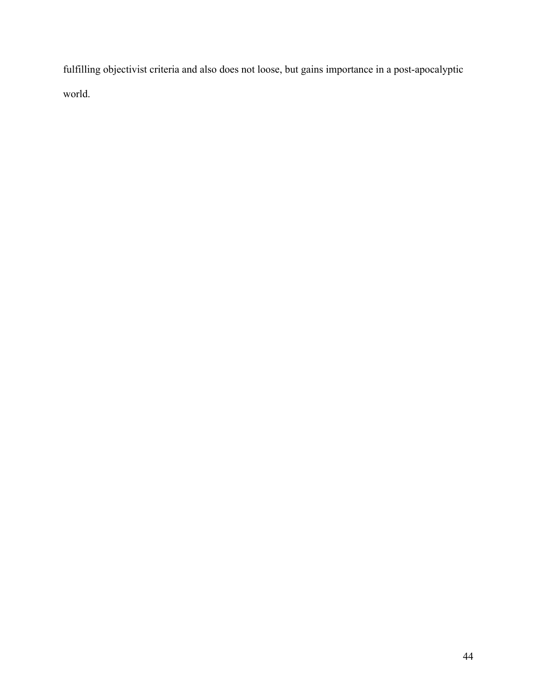fulfilling objectivist criteria and also does not loose, but gains importance in a post-apocalyptic world.